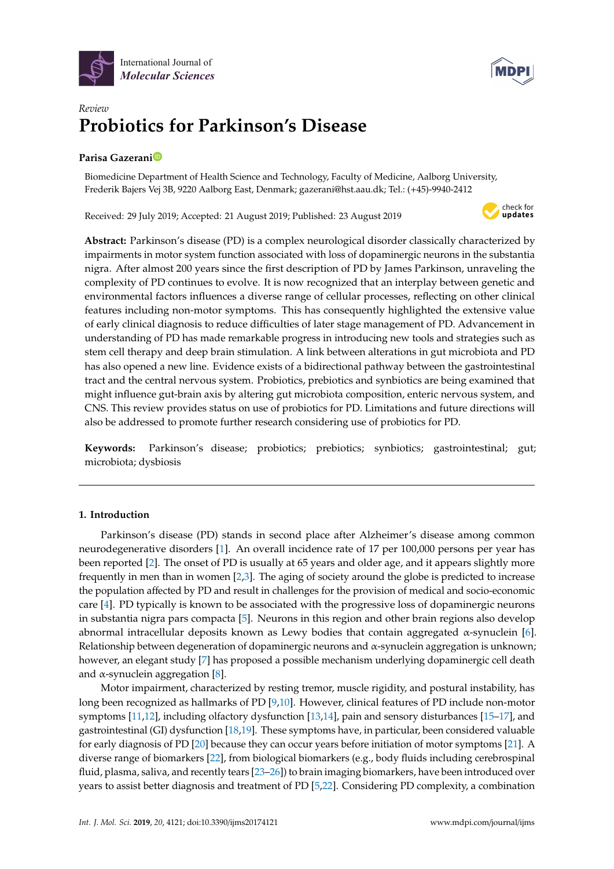



# *Review* **Probiotics for Parkinson's Disease**

# **Parisa Gazeran[i](https://orcid.org/0000-0003-0109-3600)**

Biomedicine Department of Health Science and Technology, Faculty of Medicine, Aalborg University, Frederik Bajers Vej 3B, 9220 Aalborg East, Denmark; gazerani@hst.aau.dk; Tel.: (+45)-9940-2412

Received: 29 July 2019; Accepted: 21 August 2019; Published: 23 August 2019



**Abstract:** Parkinson's disease (PD) is a complex neurological disorder classically characterized by impairments in motor system function associated with loss of dopaminergic neurons in the substantia nigra. After almost 200 years since the first description of PD by James Parkinson, unraveling the complexity of PD continues to evolve. It is now recognized that an interplay between genetic and environmental factors influences a diverse range of cellular processes, reflecting on other clinical features including non-motor symptoms. This has consequently highlighted the extensive value of early clinical diagnosis to reduce difficulties of later stage management of PD. Advancement in understanding of PD has made remarkable progress in introducing new tools and strategies such as stem cell therapy and deep brain stimulation. A link between alterations in gut microbiota and PD has also opened a new line. Evidence exists of a bidirectional pathway between the gastrointestinal tract and the central nervous system. Probiotics, prebiotics and synbiotics are being examined that might influence gut-brain axis by altering gut microbiota composition, enteric nervous system, and CNS. This review provides status on use of probiotics for PD. Limitations and future directions will also be addressed to promote further research considering use of probiotics for PD.

**Keywords:** Parkinson's disease; probiotics; prebiotics; synbiotics; gastrointestinal; gut; microbiota; dysbiosis

## **1. Introduction**

Parkinson's disease (PD) stands in second place after Alzheimer's disease among common neurodegenerative disorders [\[1\]](#page-14-0). An overall incidence rate of 17 per 100,000 persons per year has been reported [\[2\]](#page-14-1). The onset of PD is usually at 65 years and older age, and it appears slightly more frequently in men than in women [\[2](#page-14-1)[,3\]](#page-14-2). The aging of society around the globe is predicted to increase the population affected by PD and result in challenges for the provision of medical and socio-economic care [\[4\]](#page-14-3). PD typically is known to be associated with the progressive loss of dopaminergic neurons in substantia nigra pars compacta [\[5\]](#page-14-4). Neurons in this region and other brain regions also develop abnormal intracellular deposits known as Lewy bodies that contain aggregated α-synuclein [\[6\]](#page-14-5). Relationship between degeneration of dopaminergic neurons and  $\alpha$ -synuclein aggregation is unknown; however, an elegant study [\[7\]](#page-14-6) has proposed a possible mechanism underlying dopaminergic cell death and  $\alpha$ -synuclein aggregation [\[8\]](#page-14-7).

Motor impairment, characterized by resting tremor, muscle rigidity, and postural instability, has long been recognized as hallmarks of PD [\[9](#page-14-8)[,10\]](#page-14-9). However, clinical features of PD include non-motor symptoms [\[11,](#page-14-10)[12\]](#page-14-11), including olfactory dysfunction [\[13](#page-14-12)[,14\]](#page-14-13), pain and sensory disturbances [\[15](#page-15-0)[–17\]](#page-15-1), and gastrointestinal (GI) dysfunction [\[18,](#page-15-2)[19\]](#page-15-3). These symptoms have, in particular, been considered valuable for early diagnosis of PD [\[20\]](#page-15-4) because they can occur years before initiation of motor symptoms [\[21\]](#page-15-5). A diverse range of biomarkers [\[22\]](#page-15-6), from biological biomarkers (e.g., body fluids including cerebrospinal fluid, plasma, saliva, and recently tears [\[23–](#page-15-7)[26\]](#page-15-8)) to brain imaging biomarkers, have been introduced over years to assist better diagnosis and treatment of PD [\[5,](#page-14-4)[22\]](#page-15-6). Considering PD complexity, a combination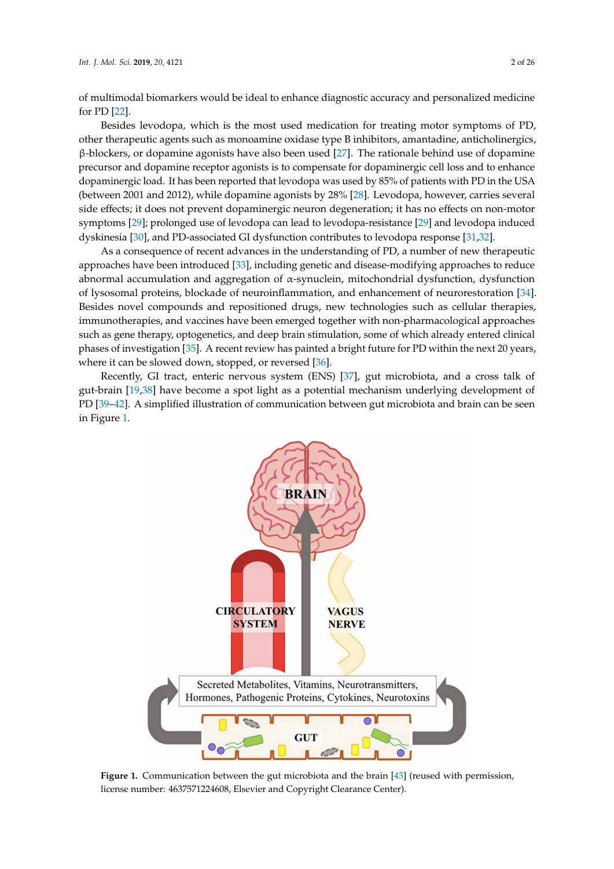of multimodal biomarkers would be ideal to enhance diagnostic accuracy and personalized medicine for PD [\[22\]](#page-15-6).

Besides levodopa, which is the most used medication for treating motor symptoms of PD, other therapeutic agents such as monoamine oxidase type B inhibitors, amantadine, anticholinergics,  $β$ -blockers, or dopamine agonists have also been used [\[27\]](#page-15-9). The rationale behind use of dopamine precursor and dopamine receptor agonists is to compensate for dopaminergic cell loss and to enhance dopaminergic load. It has been reported that levodopa was used by 85% of patients with PD in the USA (between 2001 and 2012), while dopamine agonists by 28% [\[28\]](#page-15-10). Levodopa, however, carries several side effects; it does not prevent dopaminergic neuron degeneration; it has no effects on non-motor symptoms [\[29\]](#page-15-11); prolonged use of levodopa can lead to levodopa-resistance [\[29\]](#page-15-11) and levodopa induced dyskinesia [\[30\]](#page-15-12), and PD-associated GI dysfunction contributes to levodopa response [\[31,](#page-15-13)[32\]](#page-15-14).

As a consequence of recent advances in the understanding of PD, a number of new therapeutic approaches have been introduced [\[33\]](#page-15-15), including genetic and disease-modifying approaches to reduce abnormal accumulation and aggregation of α-synuclein, mitochondrial dysfunction, dysfunction of lysosomal proteins, blockade of neuroinflammation, and enhancement of neurorestoration [\[34\]](#page-15-16). Besides novel compounds and repositioned drugs, new technologies such as cellular therapies, immunotherapies, and vaccines have been emerged together with non-pharmacological approaches such as gene therapy, optogenetics, and deep brain stimulation, some of which already entered clinical phases of investigation [\[35\]](#page-15-17). A recent review has painted a bright future for PD within the next 20 years, where it can be slowed down, stopped, or reversed [\[36\]](#page-15-18).

Recently, GI tract, enteric nervous system (ENS) [\[37\]](#page-16-0), gut microbiota, and a cross talk of gut-brain [\[19](#page-15-3)[,38\]](#page-16-1) have become a spot light as a potential mechanism underlying development of PD [\[39–](#page-16-2)[42\]](#page-16-3). A simplified illustration of communication between gut microbiota and brain can be seen in Figure [1.](#page-1-0)

<span id="page-1-0"></span>

**Figure 1.** Communication between the gut microbiota and the brain [\[43\]](#page-16-4) (reused with permission, license number: 4637571224608, Elsevier and Copyright Clearance Center).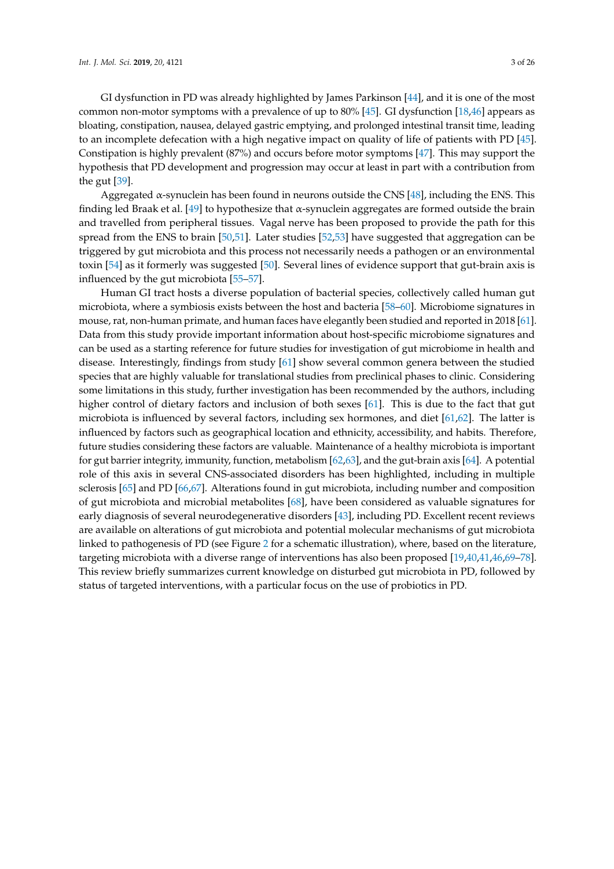GI dysfunction in PD was already highlighted by James Parkinson [\[44\]](#page-16-5), and it is one of the most common non-motor symptoms with a prevalence of up to 80% [\[45\]](#page-16-6). GI dysfunction [\[18,](#page-15-2)[46\]](#page-16-7) appears as bloating, constipation, nausea, delayed gastric emptying, and prolonged intestinal transit time, leading to an incomplete defecation with a high negative impact on quality of life of patients with PD [\[45\]](#page-16-6). Constipation is highly prevalent (87%) and occurs before motor symptoms [\[47\]](#page-16-8). This may support the hypothesis that PD development and progression may occur at least in part with a contribution from the gut [\[39\]](#page-16-2).

Aggregated  $\alpha$ -synuclein has been found in neurons outside the CNS [\[48\]](#page-16-9), including the ENS. This finding led Braak et al. [\[49\]](#page-16-10) to hypothesize that  $\alpha$ -synuclein aggregates are formed outside the brain and travelled from peripheral tissues. Vagal nerve has been proposed to provide the path for this spread from the ENS to brain [\[50,](#page-16-11)[51\]](#page-16-12). Later studies [\[52](#page-16-13)[,53\]](#page-16-14) have suggested that aggregation can be triggered by gut microbiota and this process not necessarily needs a pathogen or an environmental toxin [\[54\]](#page-16-15) as it formerly was suggested [\[50\]](#page-16-11). Several lines of evidence support that gut-brain axis is influenced by the gut microbiota [\[55–](#page-16-16)[57\]](#page-16-17).

Human GI tract hosts a diverse population of bacterial species, collectively called human gut microbiota, where a symbiosis exists between the host and bacteria [\[58](#page-16-18)[–60\]](#page-17-0). Microbiome signatures in mouse, rat, non-human primate, and human faces have elegantly been studied and reported in 2018 [\[61\]](#page-17-1). Data from this study provide important information about host-specific microbiome signatures and can be used as a starting reference for future studies for investigation of gut microbiome in health and disease. Interestingly, findings from study [\[61\]](#page-17-1) show several common genera between the studied species that are highly valuable for translational studies from preclinical phases to clinic. Considering some limitations in this study, further investigation has been recommended by the authors, including higher control of dietary factors and inclusion of both sexes [\[61\]](#page-17-1). This is due to the fact that gut microbiota is influenced by several factors, including sex hormones, and diet [\[61,](#page-17-1)[62\]](#page-17-2). The latter is influenced by factors such as geographical location and ethnicity, accessibility, and habits. Therefore, future studies considering these factors are valuable. Maintenance of a healthy microbiota is important for gut barrier integrity, immunity, function, metabolism [\[62,](#page-17-2)[63\]](#page-17-3), and the gut-brain axis [\[64\]](#page-17-4). A potential role of this axis in several CNS-associated disorders has been highlighted, including in multiple sclerosis [\[65\]](#page-17-5) and PD [\[66](#page-17-6)[,67\]](#page-17-7). Alterations found in gut microbiota, including number and composition of gut microbiota and microbial metabolites [\[68\]](#page-17-8), have been considered as valuable signatures for early diagnosis of several neurodegenerative disorders [\[43\]](#page-16-4), including PD. Excellent recent reviews are available on alterations of gut microbiota and potential molecular mechanisms of gut microbiota linked to pathogenesis of PD (see Figure [2](#page-3-0) for a schematic illustration), where, based on the literature, targeting microbiota with a diverse range of interventions has also been proposed [\[19,](#page-15-3)[40](#page-16-19)[,41](#page-16-20)[,46](#page-16-7)[,69–](#page-17-9)[78\]](#page-17-10). This review briefly summarizes current knowledge on disturbed gut microbiota in PD, followed by status of targeted interventions, with a particular focus on the use of probiotics in PD.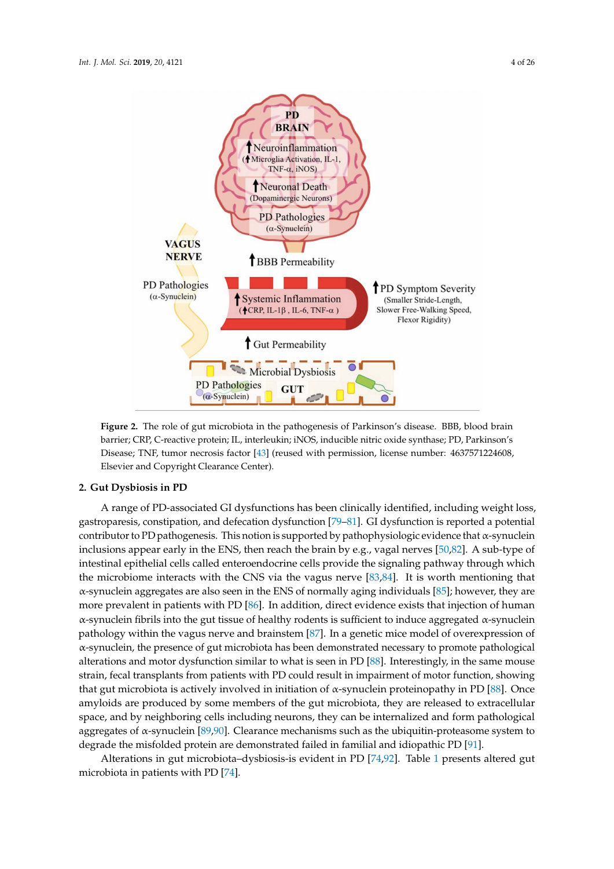<span id="page-3-0"></span>

**Figure 2.** The role of gut microbiota in the pathogenesis of Parkinson's disease. BBB, blood brain barrier; CRP, C-reactive protein; IL, interleukin; iNOS, inducible nitric oxide synthase; PD, Parkinson's Disease; TNF, tumor necrosis factor [\[43\]](#page-16-4) (reused with permission, license number: 4637571224608, Elsevier and Copyright Clearance Center).

## **2. Gut Dysbiosis in PD**

A range of PD-associated GI dysfunctions has been clinically identified, including weight loss, gastroparesis, constipation, and defecation dysfunction [\[79](#page-17-11)[–81\]](#page-17-12). GI dysfunction is reported a potential contributor to PD pathogenesis. This notion is supported by pathophysiologic evidence that  $\alpha$ -synuclein inclusions appear early in the ENS, then reach the brain by e.g., vagal nerves [\[50](#page-16-11)[,82\]](#page-17-13). A sub-type of intestinal epithelial cells called enteroendocrine cells provide the signaling pathway through which the microbiome interacts with the CNS via the vagus nerve [\[83,](#page-18-0)[84\]](#page-18-1). It is worth mentioning that α-synuclein aggregates are also seen in the ENS of normally aging individuals [\[85\]](#page-18-2); however, they are more prevalent in patients with PD [\[86\]](#page-18-3). In addition, direct evidence exists that injection of human α-synuclein fibrils into the gut tissue of healthy rodents is sufficient to induce aggregated α-synuclein pathology within the vagus nerve and brainstem [\[87\]](#page-18-4). In a genetic mice model of overexpression of α-synuclein, the presence of gut microbiota has been demonstrated necessary to promote pathological alterations and motor dysfunction similar to what is seen in PD [\[88\]](#page-18-5). Interestingly, in the same mouse strain, fecal transplants from patients with PD could result in impairment of motor function, showing that gut microbiota is actively involved in initiation of α-synuclein proteinopathy in PD [\[88\]](#page-18-5). Once amyloids are produced by some members of the gut microbiota, they are released to extracellular space, and by neighboring cells including neurons, they can be internalized and form pathological aggregates of  $\alpha$ -synuclein [\[89](#page-18-6)[,90\]](#page-18-7). Clearance mechanisms such as the ubiquitin-proteasome system to degrade the misfolded protein are demonstrated failed in familial and idiopathic PD [\[91\]](#page-18-8).

Alterations in gut microbiota–dysbiosis-is evident in PD [\[74](#page-17-14)[,92\]](#page-18-9). Table [1](#page-4-0) presents altered gut microbiota in patients with PD [\[74\]](#page-17-14).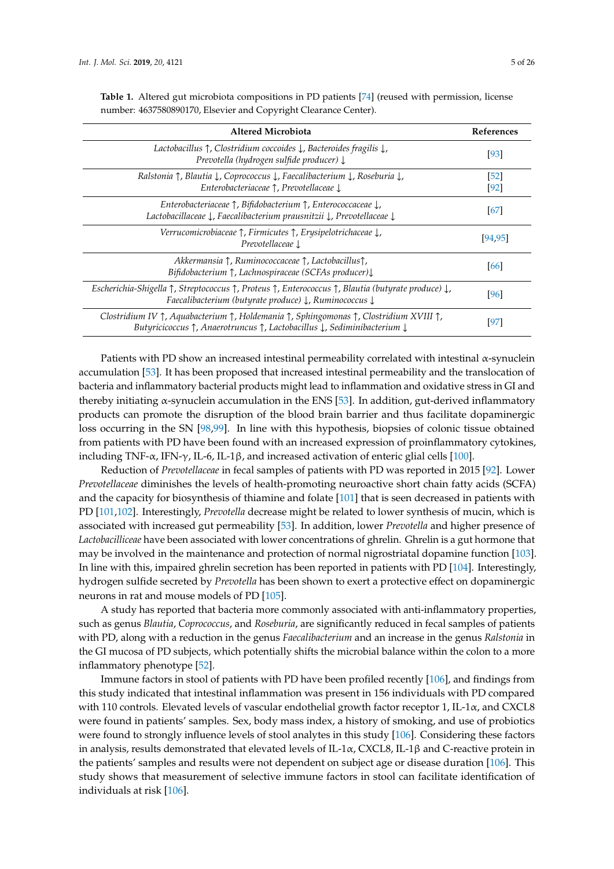| <b>Altered Microbiota</b>                                                                                                                                                                                                                                     |                |  |  |  |
|---------------------------------------------------------------------------------------------------------------------------------------------------------------------------------------------------------------------------------------------------------------|----------------|--|--|--|
| Lactobacillus $\uparrow$ , Clostridium coccoides $\downarrow$ , Bacteroides fragilis $\downarrow$ ,<br>Prevotella (hydrogen sulfide producer) $\downarrow$                                                                                                    | [93]           |  |  |  |
| Ralstonia $\uparrow$ , Blautia $\downarrow$ , Coprococcus $\downarrow$ , Faecalibacterium $\downarrow$ , Roseburia $\downarrow$ ,<br>Enterobacteriaceae $\uparrow$ . Prevotellaceae $\downarrow$                                                              | [52]<br>$[92]$ |  |  |  |
| Enterobacteriaceae $\uparrow$ , Bifidobacterium $\uparrow$ , Enterococcaceae $\downarrow$ ,<br>Lactobacillaceae $\downarrow$ , Faecalibacterium prausnitzii $\downarrow$ , Prevotellaceae $\downarrow$                                                        | 67             |  |  |  |
| Verrucomicrobiaceae $\uparrow$ , Firmicutes $\uparrow$ , Erysipelotrichaceae $\downarrow$ ,<br>Prevotellaceae 1                                                                                                                                               | [94,95]        |  |  |  |
| Akkermansia $\uparrow$ , Ruminococcaceae $\uparrow$ , Lactobacillus $\uparrow$ ,<br>Bifidobacterium $\uparrow$ , Lachnospiraceae (SCFAs producer)                                                                                                             | [66]           |  |  |  |
| Escherichia-Shigella $\uparrow$ , Streptococcus $\uparrow$ , Proteus $\uparrow$ , Enterococcus $\uparrow$ , Blautia (butyrate produce) $\downarrow$ ,<br>Faecalibacterium (butyrate produce) $\downarrow$ , Ruminococcus $\downarrow$                         | [96]           |  |  |  |
| Clostridium IV $\uparrow$ , Aquabacterium $\uparrow$ , Holdemania $\uparrow$ , Sphingomonas $\uparrow$ , Clostridium XVIII $\uparrow$ ,<br>Butyricicoccus $\uparrow$ , Anaerotruncus $\uparrow$ , Lactobacillus $\downarrow$ , Sediminibacterium $\downarrow$ | [97]           |  |  |  |

<span id="page-4-0"></span>**Table 1.** Altered gut microbiota compositions in PD patients [\[74\]](#page-17-14) (reused with permission, license number: 4637580890170, Elsevier and Copyright Clearance Center).

Patients with PD show an increased intestinal permeability correlated with intestinal  $\alpha$ -synuclein accumulation [\[53\]](#page-16-14). It has been proposed that increased intestinal permeability and the translocation of bacteria and inflammatory bacterial products might lead to inflammation and oxidative stress in GI and thereby initiating  $\alpha$ -synuclein accumulation in the ENS [\[53\]](#page-16-14). In addition, gut-derived inflammatory products can promote the disruption of the blood brain barrier and thus facilitate dopaminergic loss occurring in the SN [\[98](#page-18-15)[,99\]](#page-18-16). In line with this hypothesis, biopsies of colonic tissue obtained from patients with PD have been found with an increased expression of proinflammatory cytokines, including TNF- $\alpha$ , IFN- $\gamma$ , IL-6, IL-1 $\beta$ , and increased activation of enteric glial cells [\[100\]](#page-18-17).

Reduction of *Prevotellaceae* in fecal samples of patients with PD was reported in 2015 [\[92\]](#page-18-9). Lower *Prevotellaceae* diminishes the levels of health-promoting neuroactive short chain fatty acids (SCFA) and the capacity for biosynthesis of thiamine and folate [\[101\]](#page-18-18) that is seen decreased in patients with PD [\[101,](#page-18-18)[102\]](#page-18-19). Interestingly, *Prevotella* decrease might be related to lower synthesis of mucin, which is associated with increased gut permeability [\[53\]](#page-16-14). In addition, lower *Prevotella* and higher presence of *Lactobacilliceae* have been associated with lower concentrations of ghrelin. Ghrelin is a gut hormone that may be involved in the maintenance and protection of normal nigrostriatal dopamine function [\[103\]](#page-19-0). In line with this, impaired ghrelin secretion has been reported in patients with PD [\[104\]](#page-19-1). Interestingly, hydrogen sulfide secreted by *Prevotella* has been shown to exert a protective effect on dopaminergic neurons in rat and mouse models of PD [\[105\]](#page-19-2).

A study has reported that bacteria more commonly associated with anti-inflammatory properties, such as genus *Blautia*, *Coprococcus*, and *Roseburia*, are significantly reduced in fecal samples of patients with PD, along with a reduction in the genus *Faecalibacterium* and an increase in the genus *Ralstonia* in the GI mucosa of PD subjects, which potentially shifts the microbial balance within the colon to a more inflammatory phenotype [\[52\]](#page-16-13).

Immune factors in stool of patients with PD have been profiled recently [\[106\]](#page-19-3), and findings from this study indicated that intestinal inflammation was present in 156 individuals with PD compared with 110 controls. Elevated levels of vascular endothelial growth factor receptor 1, IL-1α, and CXCL8 were found in patients' samples. Sex, body mass index, a history of smoking, and use of probiotics were found to strongly influence levels of stool analytes in this study [\[106\]](#page-19-3). Considering these factors in analysis, results demonstrated that elevated levels of IL-1 $\alpha$ , CXCL8, IL-1 $\beta$  and C-reactive protein in the patients' samples and results were not dependent on subject age or disease duration [\[106\]](#page-19-3). This study shows that measurement of selective immune factors in stool can facilitate identification of individuals at risk [\[106\]](#page-19-3).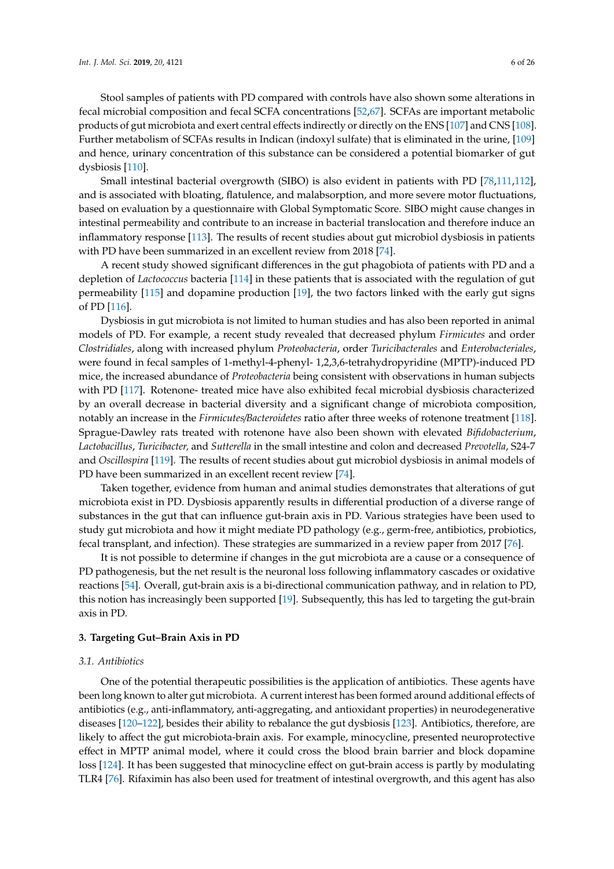Stool samples of patients with PD compared with controls have also shown some alterations in fecal microbial composition and fecal SCFA concentrations [\[52,](#page-16-13)[67\]](#page-17-7). SCFAs are important metabolic products of gut microbiota and exert central effects indirectly or directly on the ENS [\[107\]](#page-19-4) and CNS [\[108\]](#page-19-5). Further metabolism of SCFAs results in Indican (indoxyl sulfate) that is eliminated in the urine, [\[109\]](#page-19-6) and hence, urinary concentration of this substance can be considered a potential biomarker of gut dysbiosis [\[110\]](#page-19-7).

Small intestinal bacterial overgrowth (SIBO) is also evident in patients with PD [\[78,](#page-17-10)[111,](#page-19-8)[112\]](#page-19-9), and is associated with bloating, flatulence, and malabsorption, and more severe motor fluctuations, based on evaluation by a questionnaire with Global Symptomatic Score. SIBO might cause changes in intestinal permeability and contribute to an increase in bacterial translocation and therefore induce an inflammatory response [\[113\]](#page-19-10). The results of recent studies about gut microbiol dysbiosis in patients with PD have been summarized in an excellent review from 2018 [\[74\]](#page-17-14).

A recent study showed significant differences in the gut phagobiota of patients with PD and a depletion of *Lactococcus* bacteria [\[114\]](#page-19-11) in these patients that is associated with the regulation of gut permeability [\[115\]](#page-19-12) and dopamine production [\[19\]](#page-15-3), the two factors linked with the early gut signs of PD [\[116\]](#page-19-13).

Dysbiosis in gut microbiota is not limited to human studies and has also been reported in animal models of PD. For example, a recent study revealed that decreased phylum *Firmicutes* and order *Clostridiales*, along with increased phylum *Proteobacteria*, order *Turicibacterales* and *Enterobacteriales*, were found in fecal samples of 1-methyl-4-phenyl- 1,2,3,6-tetrahydropyridine (MPTP)-induced PD mice, the increased abundance of *Proteobacteria* being consistent with observations in human subjects with PD [\[117\]](#page-19-14). Rotenone- treated mice have also exhibited fecal microbial dysbiosis characterized by an overall decrease in bacterial diversity and a significant change of microbiota composition, notably an increase in the *Firmicutes*/*Bacteroidetes* ratio after three weeks of rotenone treatment [\[118\]](#page-19-15). Sprague-Dawley rats treated with rotenone have also been shown with elevated *Bifidobacterium*, *Lactobacillus*, *Turicibacter,* and *Sutterella* in the small intestine and colon and decreased *Prevotella*, S24-7 and *Oscillospira* [\[119\]](#page-19-16). The results of recent studies about gut microbiol dysbiosis in animal models of PD have been summarized in an excellent recent review [\[74\]](#page-17-14).

Taken together, evidence from human and animal studies demonstrates that alterations of gut microbiota exist in PD. Dysbiosis apparently results in differential production of a diverse range of substances in the gut that can influence gut-brain axis in PD. Various strategies have been used to study gut microbiota and how it might mediate PD pathology (e.g., germ-free, antibiotics, probiotics, fecal transplant, and infection). These strategies are summarized in a review paper from 2017 [\[76\]](#page-17-15).

It is not possible to determine if changes in the gut microbiota are a cause or a consequence of PD pathogenesis, but the net result is the neuronal loss following inflammatory cascades or oxidative reactions [\[54\]](#page-16-15). Overall, gut-brain axis is a bi-directional communication pathway, and in relation to PD, this notion has increasingly been supported [\[19\]](#page-15-3). Subsequently, this has led to targeting the gut-brain axis in PD.

## **3. Targeting Gut–Brain Axis in PD**

## *3.1. Antibiotics*

One of the potential therapeutic possibilities is the application of antibiotics. These agents have been long known to alter gut microbiota. A current interest has been formed around additional effects of antibiotics (e.g., anti-inflammatory, anti-aggregating, and antioxidant properties) in neurodegenerative diseases [\[120](#page-19-17)[–122\]](#page-19-18), besides their ability to rebalance the gut dysbiosis [\[123\]](#page-20-0). Antibiotics, therefore, are likely to affect the gut microbiota-brain axis. For example, minocycline, presented neuroprotective effect in MPTP animal model, where it could cross the blood brain barrier and block dopamine loss [\[124\]](#page-20-1). It has been suggested that minocycline effect on gut-brain access is partly by modulating TLR4 [\[76\]](#page-17-15). Rifaximin has also been used for treatment of intestinal overgrowth, and this agent has also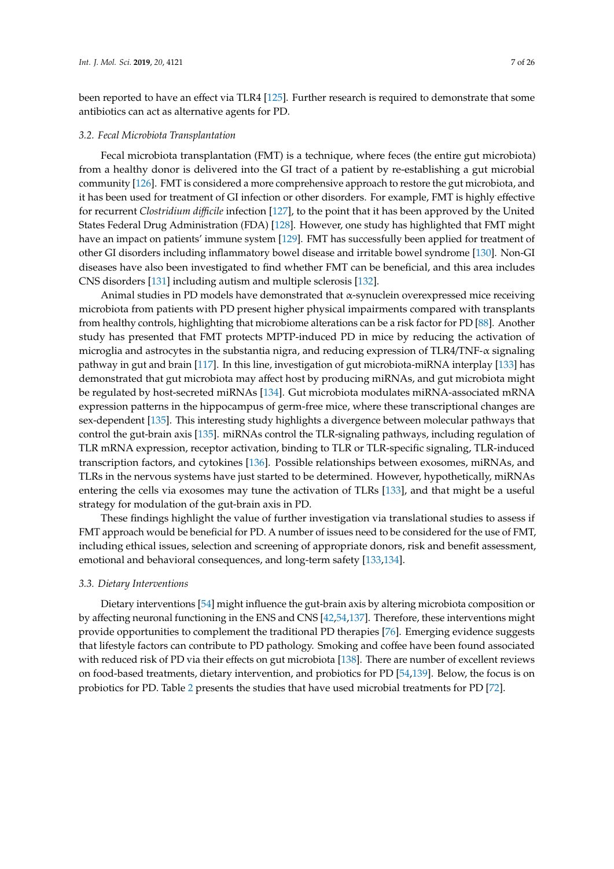been reported to have an effect via TLR4 [\[125\]](#page-20-2). Further research is required to demonstrate that some antibiotics can act as alternative agents for PD.

## *3.2. Fecal Microbiota Transplantation*

Fecal microbiota transplantation (FMT) is a technique, where feces (the entire gut microbiota) from a healthy donor is delivered into the GI tract of a patient by re-establishing a gut microbial community [\[126\]](#page-20-3). FMT is considered a more comprehensive approach to restore the gut microbiota, and it has been used for treatment of GI infection or other disorders. For example, FMT is highly effective for recurrent *Clostridium di*ffi*cile* infection [\[127\]](#page-20-4), to the point that it has been approved by the United States Federal Drug Administration (FDA) [\[128\]](#page-20-5). However, one study has highlighted that FMT might have an impact on patients' immune system [\[129\]](#page-20-6). FMT has successfully been applied for treatment of other GI disorders including inflammatory bowel disease and irritable bowel syndrome [\[130\]](#page-20-7). Non-GI diseases have also been investigated to find whether FMT can be beneficial, and this area includes CNS disorders [\[131\]](#page-20-8) including autism and multiple sclerosis [\[132\]](#page-20-9).

Animal studies in PD models have demonstrated that  $\alpha$ -synuclein overexpressed mice receiving microbiota from patients with PD present higher physical impairments compared with transplants from healthy controls, highlighting that microbiome alterations can be a risk factor for PD [\[88\]](#page-18-5). Another study has presented that FMT protects MPTP-induced PD in mice by reducing the activation of microglia and astrocytes in the substantia nigra, and reducing expression of TLR4/TNF-α signaling pathway in gut and brain [\[117\]](#page-19-14). In this line, investigation of gut microbiota-miRNA interplay [\[133\]](#page-20-10) has demonstrated that gut microbiota may affect host by producing miRNAs, and gut microbiota might be regulated by host-secreted miRNAs [\[134\]](#page-20-11). Gut microbiota modulates miRNA-associated mRNA expression patterns in the hippocampus of germ-free mice, where these transcriptional changes are sex-dependent [\[135\]](#page-20-12). This interesting study highlights a divergence between molecular pathways that control the gut-brain axis [\[135\]](#page-20-12). miRNAs control the TLR-signaling pathways, including regulation of TLR mRNA expression, receptor activation, binding to TLR or TLR-specific signaling, TLR-induced transcription factors, and cytokines [\[136\]](#page-20-13). Possible relationships between exosomes, miRNAs, and TLRs in the nervous systems have just started to be determined. However, hypothetically, miRNAs entering the cells via exosomes may tune the activation of TLRs [\[133\]](#page-20-10), and that might be a useful strategy for modulation of the gut-brain axis in PD.

These findings highlight the value of further investigation via translational studies to assess if FMT approach would be beneficial for PD. A number of issues need to be considered for the use of FMT, including ethical issues, selection and screening of appropriate donors, risk and benefit assessment, emotional and behavioral consequences, and long-term safety [\[133,](#page-20-10)[134\]](#page-20-11).

#### *3.3. Dietary Interventions*

Dietary interventions [\[54\]](#page-16-15) might influence the gut-brain axis by altering microbiota composition or by affecting neuronal functioning in the ENS and CNS [\[42](#page-16-3)[,54,](#page-16-15)[137\]](#page-20-14). Therefore, these interventions might provide opportunities to complement the traditional PD therapies [\[76\]](#page-17-15). Emerging evidence suggests that lifestyle factors can contribute to PD pathology. Smoking and coffee have been found associated with reduced risk of PD via their effects on gut microbiota [\[138\]](#page-20-15). There are number of excellent reviews on food-based treatments, dietary intervention, and probiotics for PD [\[54](#page-16-15)[,139\]](#page-20-16). Below, the focus is on probiotics for PD. Table [2](#page-7-0) presents the studies that have used microbial treatments for PD [\[72\]](#page-17-16).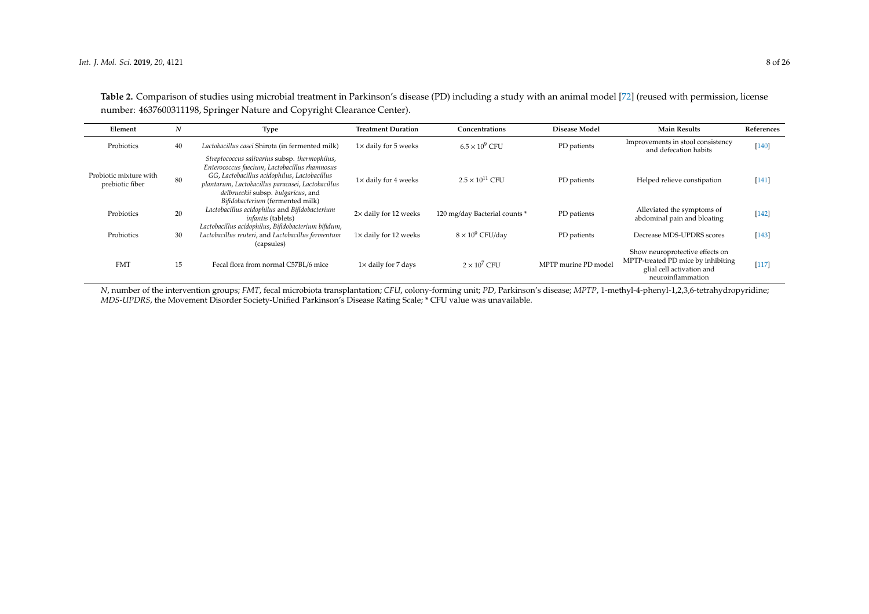| Table 2. Comparison of studies using microbial treatment in Parkinson's disease (PD) including a study with an animal model [72] (reused with permission, license |
|-------------------------------------------------------------------------------------------------------------------------------------------------------------------|
| number: 4637600311198, Springer Nature and Copyright Clearance Center).                                                                                           |

| Element                                   | N  | Type                                                                                                                                                                                                                                                                          | <b>Treatment Duration</b>   | Concentrations                | <b>Disease Model</b> | <b>Main Results</b>                                                                                                     | References |
|-------------------------------------------|----|-------------------------------------------------------------------------------------------------------------------------------------------------------------------------------------------------------------------------------------------------------------------------------|-----------------------------|-------------------------------|----------------------|-------------------------------------------------------------------------------------------------------------------------|------------|
| Probiotics                                | 40 | Lactobacillus casei Shirota (in fermented milk)                                                                                                                                                                                                                               | $1\times$ daily for 5 weeks | $6.5 \times 10^9$ CFU         | PD patients          | Improvements in stool consistency<br>and defecation habits                                                              | $[140]$    |
| Probiotic mixture with<br>prebiotic fiber | 80 | Streptococcus salivarius subsp. thermophilus,<br>Enterococcus faecium, Lactobacillus rhamnosus<br>GG, Lactobacillus acidophilus, Lactobacillus<br>plantarum, Lactobacillus paracasei, Lactobacillus<br>delbrueckii subsp. bulgaricus, and<br>Bifidobacterium (fermented milk) | $1\times$ daily for 4 weeks | $2.5 \times 10^{11}$ CFU      | PD patients          | Helped relieve constipation                                                                                             | [141]      |
| Probiotics                                | 20 | Lactobacillus acidophilus and Bifidobacterium<br><i>infantis</i> (tablets)                                                                                                                                                                                                    | 2× daily for 12 weeks       | 120 mg/day Bacterial counts * | PD patients          | Alleviated the symptoms of<br>abdominal pain and bloating                                                               | $[142]$    |
| Probiotics                                | 30 | Lactobacillus acidophilus, Bifidobacterium bifidum,<br>Lactobacillus reuteri, and Lactobacillus fermentum<br>(capsules)                                                                                                                                                       | 1× daily for 12 weeks       | $8 \times 10^9$ CFU/day       | PD patients          | Decrease MDS-UPDRS scores                                                                                               | $[143]$    |
| <b>FMT</b>                                | 15 | Fecal flora from normal C57BL/6 mice                                                                                                                                                                                                                                          | $1\times$ daily for 7 days  | $2 \times 10^7$ CFU           | MPTP murine PD model | Show neuroprotective effects on<br>MPTP-treated PD mice by inhibiting<br>glial cell activation and<br>neuroinflammation | $[117]$    |

<span id="page-7-0"></span>*N*, number of the intervention groups; *FMT*, fecal microbiota transplantation; *CFU*, colony-forming unit; *PD*, Parkinson's disease; *MPTP*, 1-methyl-4-phenyl-1,2,3,6-tetrahydropyridine; *MDS-UPDRS*, the Movement Disorder Society-Unified Parkinson's Disease Rating Scale; \* CFU value was unavailable.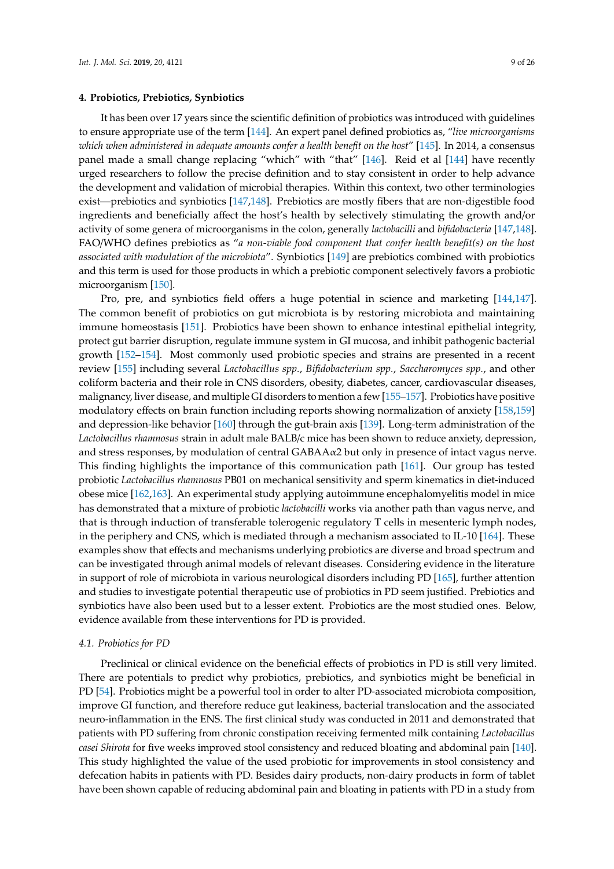It has been over 17 years since the scientific definition of probiotics was introduced with guidelines to ensure appropriate use of the term [\[144\]](#page-21-0). An expert panel defined probiotics as, "*live microorganisms which when administered in adequate amounts confer a health benefit on the host*" [\[145\]](#page-21-1). In 2014, a consensus panel made a small change replacing "which" with "that" [\[146\]](#page-21-2). Reid et al [\[144\]](#page-21-0) have recently urged researchers to follow the precise definition and to stay consistent in order to help advance the development and validation of microbial therapies. Within this context, two other terminologies exist—prebiotics and synbiotics [\[147,](#page-21-3)[148\]](#page-21-4). Prebiotics are mostly fibers that are non-digestible food ingredients and beneficially affect the host's health by selectively stimulating the growth and/or activity of some genera of microorganisms in the colon, generally *lactobacilli* and *bifidobacteria* [\[147](#page-21-3)[,148\]](#page-21-4). FAO/WHO defines prebiotics as "*a non-viable food component that confer health benefit(s) on the host associated with modulation of the microbiota*". Synbiotics [\[149\]](#page-21-5) are prebiotics combined with probiotics and this term is used for those products in which a prebiotic component selectively favors a probiotic microorganism [\[150\]](#page-21-6).

## **4. Probiotics, Prebiotics, Synbiotics**

Pro, pre, and synbiotics field offers a huge potential in science and marketing [\[144,](#page-21-0)[147\]](#page-21-3). The common benefit of probiotics on gut microbiota is by restoring microbiota and maintaining immune homeostasis [\[151\]](#page-21-7). Probiotics have been shown to enhance intestinal epithelial integrity, protect gut barrier disruption, regulate immune system in GI mucosa, and inhibit pathogenic bacterial growth [\[152](#page-21-8)[–154\]](#page-21-9). Most commonly used probiotic species and strains are presented in a recent review [\[155\]](#page-21-10) including several *Lactobacillus spp.*, *Bifidobacterium spp.*, *Saccharomyces spp.*, and other coliform bacteria and their role in CNS disorders, obesity, diabetes, cancer, cardiovascular diseases, malignancy, liver disease, and multiple GI disorders to mention a few [\[155–](#page-21-10)[157\]](#page-21-11). Probiotics have positive modulatory effects on brain function including reports showing normalization of anxiety [\[158](#page-21-12)[,159\]](#page-21-13) and depression-like behavior [\[160\]](#page-21-14) through the gut-brain axis [\[139\]](#page-20-16). Long-term administration of the *Lactobacillus rhamnosus* strain in adult male BALB/c mice has been shown to reduce anxiety, depression, and stress responses, by modulation of central GABAAα2 but only in presence of intact vagus nerve. This finding highlights the importance of this communication path [\[161\]](#page-21-15). Our group has tested probiotic *Lactobacillus rhamnosus* PB01 on mechanical sensitivity and sperm kinematics in diet-induced obese mice [\[162](#page-21-16)[,163\]](#page-21-17). An experimental study applying autoimmune encephalomyelitis model in mice has demonstrated that a mixture of probiotic *lactobacilli* works via another path than vagus nerve, and that is through induction of transferable tolerogenic regulatory T cells in mesenteric lymph nodes, in the periphery and CNS, which is mediated through a mechanism associated to IL-10 [\[164\]](#page-22-0). These examples show that effects and mechanisms underlying probiotics are diverse and broad spectrum and can be investigated through animal models of relevant diseases. Considering evidence in the literature in support of role of microbiota in various neurological disorders including PD [\[165\]](#page-22-1), further attention and studies to investigate potential therapeutic use of probiotics in PD seem justified. Prebiotics and synbiotics have also been used but to a lesser extent. Probiotics are the most studied ones. Below, evidence available from these interventions for PD is provided.

#### *4.1. Probiotics for PD*

Preclinical or clinical evidence on the beneficial effects of probiotics in PD is still very limited. There are potentials to predict why probiotics, prebiotics, and synbiotics might be beneficial in PD [\[54\]](#page-16-15). Probiotics might be a powerful tool in order to alter PD-associated microbiota composition, improve GI function, and therefore reduce gut leakiness, bacterial translocation and the associated neuro-inflammation in the ENS. The first clinical study was conducted in 2011 and demonstrated that patients with PD suffering from chronic constipation receiving fermented milk containing *Lactobacillus casei Shirota* for five weeks improved stool consistency and reduced bloating and abdominal pain [\[140\]](#page-20-21). This study highlighted the value of the used probiotic for improvements in stool consistency and defecation habits in patients with PD. Besides dairy products, non-dairy products in form of tablet have been shown capable of reducing abdominal pain and bloating in patients with PD in a study from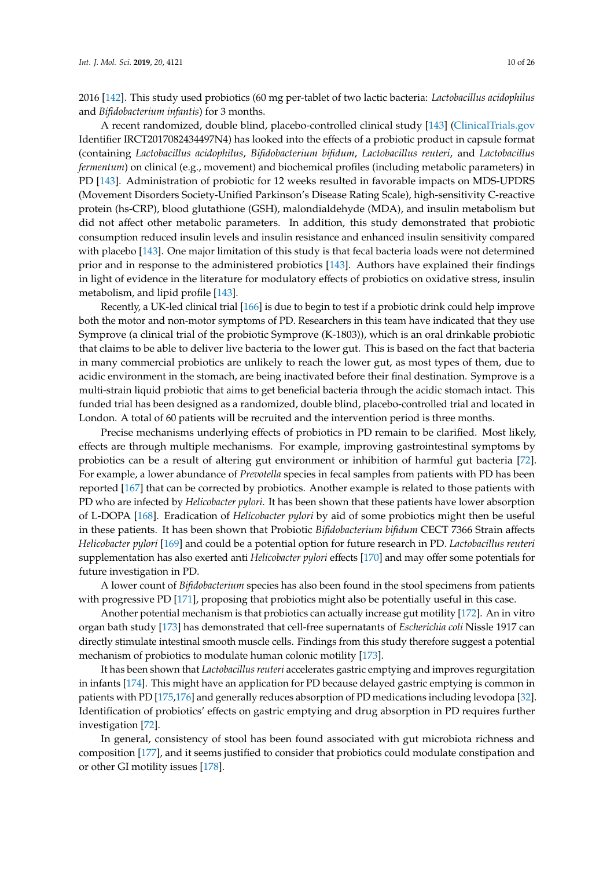2016 [\[142\]](#page-20-22). This study used probiotics (60 mg per-tablet of two lactic bacteria: *Lactobacillus acidophilus* and *Bifidobacterium infantis*) for 3 months.

A recent randomized, double blind, placebo-controlled clinical study [\[143\]](#page-20-23) [\(ClinicalTrials.gov](ClinicalTrials.gov) Identifier IRCT2017082434497N4) has looked into the effects of a probiotic product in capsule format (containing *Lactobacillus acidophilus*, *Bifidobacterium bifidum*, *Lactobacillus reuteri*, and *Lactobacillus fermentum*) on clinical (e.g., movement) and biochemical profiles (including metabolic parameters) in PD [\[143\]](#page-20-23). Administration of probiotic for 12 weeks resulted in favorable impacts on MDS-UPDRS (Movement Disorders Society-Unified Parkinson's Disease Rating Scale), high-sensitivity C-reactive protein (hs-CRP), blood glutathione (GSH), malondialdehyde (MDA), and insulin metabolism but did not affect other metabolic parameters. In addition, this study demonstrated that probiotic consumption reduced insulin levels and insulin resistance and enhanced insulin sensitivity compared with placebo [\[143\]](#page-20-23). One major limitation of this study is that fecal bacteria loads were not determined prior and in response to the administered probiotics [\[143\]](#page-20-23). Authors have explained their findings in light of evidence in the literature for modulatory effects of probiotics on oxidative stress, insulin metabolism, and lipid profile [\[143\]](#page-20-23).

Recently, a UK-led clinical trial [\[166\]](#page-22-2) is due to begin to test if a probiotic drink could help improve both the motor and non-motor symptoms of PD. Researchers in this team have indicated that they use Symprove (a clinical trial of the probiotic Symprove (K-1803)), which is an oral drinkable probiotic that claims to be able to deliver live bacteria to the lower gut. This is based on the fact that bacteria in many commercial probiotics are unlikely to reach the lower gut, as most types of them, due to acidic environment in the stomach, are being inactivated before their final destination. Symprove is a multi-strain liquid probiotic that aims to get beneficial bacteria through the acidic stomach intact. This funded trial has been designed as a randomized, double blind, placebo-controlled trial and located in London. A total of 60 patients will be recruited and the intervention period is three months.

Precise mechanisms underlying effects of probiotics in PD remain to be clarified. Most likely, effects are through multiple mechanisms. For example, improving gastrointestinal symptoms by probiotics can be a result of altering gut environment or inhibition of harmful gut bacteria [\[72\]](#page-17-16). For example, a lower abundance of *Prevotella* species in fecal samples from patients with PD has been reported [\[167\]](#page-22-3) that can be corrected by probiotics. Another example is related to those patients with PD who are infected by *Helicobacter pylori*. It has been shown that these patients have lower absorption of L-DOPA [\[168\]](#page-22-4). Eradication of *Helicobacter pylori* by aid of some probiotics might then be useful in these patients. It has been shown that Probiotic *Bifidobacterium bifidum* CECT 7366 Strain affects *Helicobacter pylori* [\[169\]](#page-22-5) and could be a potential option for future research in PD. *Lactobacillus reuteri* supplementation has also exerted anti *Helicobacter pylori* effects [\[170\]](#page-22-6) and may offer some potentials for future investigation in PD.

A lower count of *Bifidobacterium* species has also been found in the stool specimens from patients with progressive PD [\[171\]](#page-22-7), proposing that probiotics might also be potentially useful in this case.

Another potential mechanism is that probiotics can actually increase gut motility [\[172\]](#page-22-8). An in vitro organ bath study [\[173\]](#page-22-9) has demonstrated that cell-free supernatants of *Escherichia coli* Nissle 1917 can directly stimulate intestinal smooth muscle cells. Findings from this study therefore suggest a potential mechanism of probiotics to modulate human colonic motility [\[173\]](#page-22-9).

It has been shown that *Lactobacillus reuteri* accelerates gastric emptying and improves regurgitation in infants [\[174\]](#page-22-10). This might have an application for PD because delayed gastric emptying is common in patients with PD [\[175,](#page-22-11)[176\]](#page-22-12) and generally reduces absorption of PD medications including levodopa [\[32\]](#page-15-14). Identification of probiotics' effects on gastric emptying and drug absorption in PD requires further investigation [\[72\]](#page-17-16).

In general, consistency of stool has been found associated with gut microbiota richness and composition [\[177\]](#page-22-13), and it seems justified to consider that probiotics could modulate constipation and or other GI motility issues [\[178\]](#page-22-14).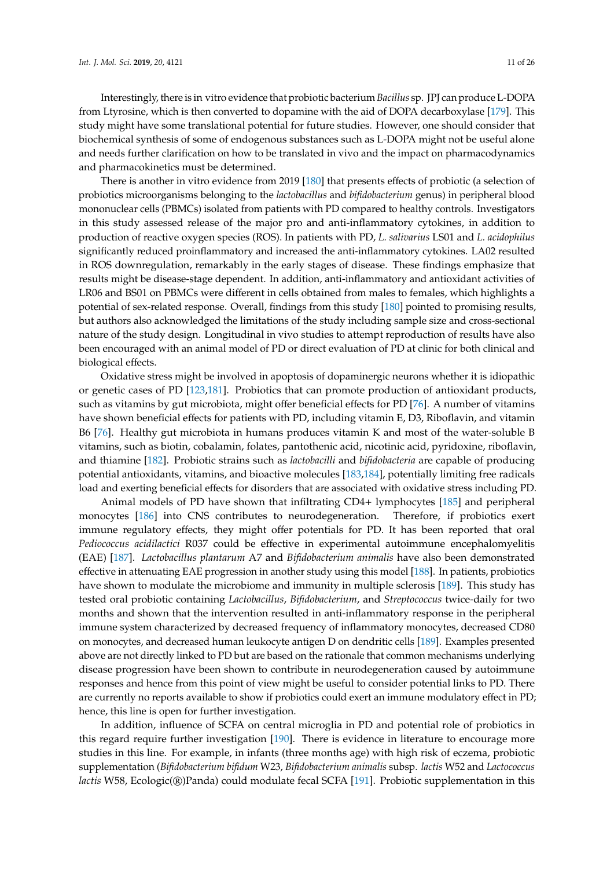Interestingly, there is in vitro evidence that probiotic bacterium *Bacillus* sp. JPJ can produce L-DOPA from Ltyrosine, which is then converted to dopamine with the aid of DOPA decarboxylase [\[179\]](#page-22-15). This study might have some translational potential for future studies. However, one should consider that biochemical synthesis of some of endogenous substances such as L-DOPA might not be useful alone and needs further clarification on how to be translated in vivo and the impact on pharmacodynamics and pharmacokinetics must be determined.

There is another in vitro evidence from 2019 [\[180\]](#page-22-16) that presents effects of probiotic (a selection of probiotics microorganisms belonging to the *lactobacillus* and *bifidobacterium* genus) in peripheral blood mononuclear cells (PBMCs) isolated from patients with PD compared to healthy controls. Investigators in this study assessed release of the major pro and anti-inflammatory cytokines, in addition to production of reactive oxygen species (ROS). In patients with PD, *L. salivarius* LS01 and *L. acidophilus* significantly reduced proinflammatory and increased the anti-inflammatory cytokines. LA02 resulted in ROS downregulation, remarkably in the early stages of disease. These findings emphasize that results might be disease-stage dependent. In addition, anti-inflammatory and antioxidant activities of LR06 and BS01 on PBMCs were different in cells obtained from males to females, which highlights a potential of sex-related response. Overall, findings from this study [\[180\]](#page-22-16) pointed to promising results, but authors also acknowledged the limitations of the study including sample size and cross-sectional nature of the study design. Longitudinal in vivo studies to attempt reproduction of results have also been encouraged with an animal model of PD or direct evaluation of PD at clinic for both clinical and biological effects.

Oxidative stress might be involved in apoptosis of dopaminergic neurons whether it is idiopathic or genetic cases of PD [\[123](#page-20-0)[,181\]](#page-22-17). Probiotics that can promote production of antioxidant products, such as vitamins by gut microbiota, might offer beneficial effects for PD [\[76\]](#page-17-15). A number of vitamins have shown beneficial effects for patients with PD, including vitamin E, D3, Riboflavin, and vitamin B6 [\[76\]](#page-17-15). Healthy gut microbiota in humans produces vitamin K and most of the water-soluble B vitamins, such as biotin, cobalamin, folates, pantothenic acid, nicotinic acid, pyridoxine, riboflavin, and thiamine [\[182\]](#page-22-18). Probiotic strains such as *lactobacilli* and *bifidobacteria* are capable of producing potential antioxidants, vitamins, and bioactive molecules [\[183](#page-22-19)[,184\]](#page-23-0), potentially limiting free radicals load and exerting beneficial effects for disorders that are associated with oxidative stress including PD.

Animal models of PD have shown that infiltrating CD4+ lymphocytes [\[185\]](#page-23-1) and peripheral monocytes [\[186\]](#page-23-2) into CNS contributes to neurodegeneration. Therefore, if probiotics exert immune regulatory effects, they might offer potentials for PD. It has been reported that oral *Pediococcus acidilactici* R037 could be effective in experimental autoimmune encephalomyelitis (EAE) [\[187\]](#page-23-3). *Lactobacillus plantarum* A7 and *Bifidobacterium animalis* have also been demonstrated effective in attenuating EAE progression in another study using this model [\[188\]](#page-23-4). In patients, probiotics have shown to modulate the microbiome and immunity in multiple sclerosis [\[189\]](#page-23-5). This study has tested oral probiotic containing *Lactobacillus*, *Bifidobacterium*, and *Streptococcus* twice-daily for two months and shown that the intervention resulted in anti-inflammatory response in the peripheral immune system characterized by decreased frequency of inflammatory monocytes, decreased CD80 on monocytes, and decreased human leukocyte antigen D on dendritic cells [\[189\]](#page-23-5). Examples presented above are not directly linked to PD but are based on the rationale that common mechanisms underlying disease progression have been shown to contribute in neurodegeneration caused by autoimmune responses and hence from this point of view might be useful to consider potential links to PD. There are currently no reports available to show if probiotics could exert an immune modulatory effect in PD; hence, this line is open for further investigation.

In addition, influence of SCFA on central microglia in PD and potential role of probiotics in this regard require further investigation [\[190\]](#page-23-6). There is evidence in literature to encourage more studies in this line. For example, in infants (three months age) with high risk of eczema, probiotic supplementation (*Bifidobacterium bifidum* W23, *Bifidobacterium animalis* subsp. *lactis* W52 and *Lactococcus lactis* W58, Ecologic(®)Panda) could modulate fecal SCFA [\[191\]](#page-23-7). Probiotic supplementation in this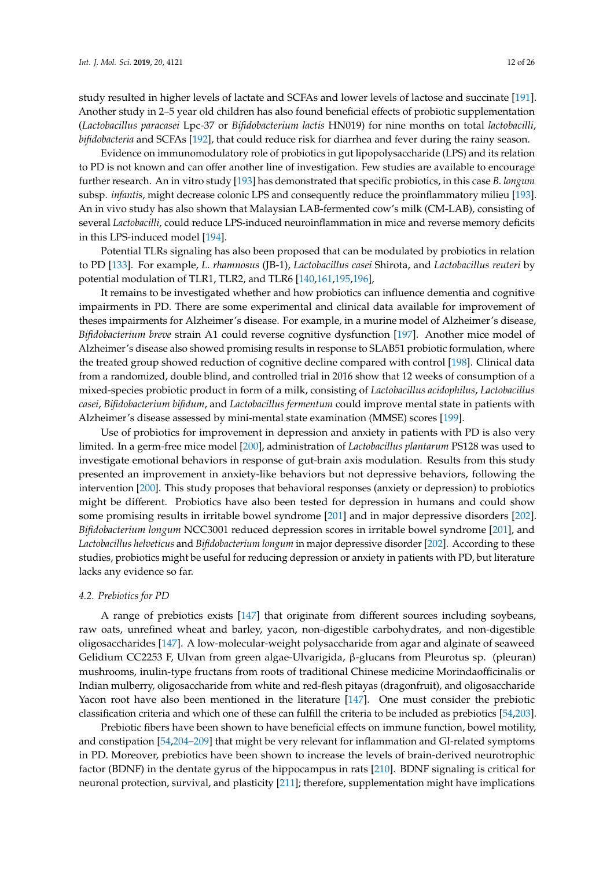study resulted in higher levels of lactate and SCFAs and lower levels of lactose and succinate [\[191\]](#page-23-7). Another study in 2–5 year old children has also found beneficial effects of probiotic supplementation (*Lactobacillus paracasei* Lpc-37 or *Bifidobacterium lactis* HN019) for nine months on total *lactobacilli*, *bifidobacteria* and SCFAs [\[192\]](#page-23-8), that could reduce risk for diarrhea and fever during the rainy season.

Evidence on immunomodulatory role of probiotics in gut lipopolysaccharide (LPS) and its relation to PD is not known and can offer another line of investigation. Few studies are available to encourage further research. An in vitro study [\[193\]](#page-23-9) has demonstrated that specific probiotics, in this case *B. longum* subsp. *infantis*, might decrease colonic LPS and consequently reduce the proinflammatory milieu [\[193\]](#page-23-9). An in vivo study has also shown that Malaysian LAB-fermented cow's milk (CM-LAB), consisting of several *Lactobacilli*, could reduce LPS-induced neuroinflammation in mice and reverse memory deficits in this LPS-induced model [\[194\]](#page-23-10).

Potential TLRs signaling has also been proposed that can be modulated by probiotics in relation to PD [\[133\]](#page-20-10). For example, *L. rhamnosus* (JB-1), *Lactobacillus casei* Shirota, and *Lactobacillus reuteri* by potential modulation of TLR1, TLR2, and TLR6 [\[140](#page-20-21)[,161](#page-21-15)[,195](#page-23-11)[,196\]](#page-23-12),

It remains to be investigated whether and how probiotics can influence dementia and cognitive impairments in PD. There are some experimental and clinical data available for improvement of theses impairments for Alzheimer's disease. For example, in a murine model of Alzheimer's disease, *Bifidobacterium breve* strain A1 could reverse cognitive dysfunction [\[197\]](#page-23-13). Another mice model of Alzheimer's disease also showed promising results in response to SLAB51 probiotic formulation, where the treated group showed reduction of cognitive decline compared with control [\[198\]](#page-23-14). Clinical data from a randomized, double blind, and controlled trial in 2016 show that 12 weeks of consumption of a mixed-species probiotic product in form of a milk, consisting of *Lactobacillus acidophilus*, *Lactobacillus casei*, *Bifidobacterium bifidum*, and *Lactobacillus fermentum* could improve mental state in patients with Alzheimer's disease assessed by mini-mental state examination (MMSE) scores [\[199\]](#page-23-15).

Use of probiotics for improvement in depression and anxiety in patients with PD is also very limited. In a germ-free mice model [\[200\]](#page-23-16), administration of *Lactobacillus plantarum* PS128 was used to investigate emotional behaviors in response of gut-brain axis modulation. Results from this study presented an improvement in anxiety-like behaviors but not depressive behaviors, following the intervention [\[200\]](#page-23-16). This study proposes that behavioral responses (anxiety or depression) to probiotics might be different. Probiotics have also been tested for depression in humans and could show some promising results in irritable bowel syndrome [\[201\]](#page-24-0) and in major depressive disorders [\[202\]](#page-24-1). *Bifidobacterium longum* NCC3001 reduced depression scores in irritable bowel syndrome [\[201\]](#page-24-0), and *Lactobacillus helveticus* and *Bifidobacterium longum* in major depressive disorder [\[202\]](#page-24-1). According to these studies, probiotics might be useful for reducing depression or anxiety in patients with PD, but literature lacks any evidence so far.

## *4.2. Prebiotics for PD*

A range of prebiotics exists [\[147\]](#page-21-3) that originate from different sources including soybeans, raw oats, unrefined wheat and barley, yacon, non-digestible carbohydrates, and non-digestible oligosaccharides [\[147\]](#page-21-3). A low-molecular-weight polysaccharide from agar and alginate of seaweed Gelidium CC2253 F, Ulvan from green algae-Ulvarigida, β-glucans from Pleurotus sp. (pleuran) mushrooms, inulin-type fructans from roots of traditional Chinese medicine Morindaofficinalis or Indian mulberry, oligosaccharide from white and red-flesh pitayas (dragonfruit), and oligosaccharide Yacon root have also been mentioned in the literature [\[147\]](#page-21-3). One must consider the prebiotic classification criteria and which one of these can fulfill the criteria to be included as prebiotics [\[54](#page-16-15)[,203\]](#page-24-2).

Prebiotic fibers have been shown to have beneficial effects on immune function, bowel motility, and constipation [\[54,](#page-16-15)[204–](#page-24-3)[209\]](#page-24-4) that might be very relevant for inflammation and GI-related symptoms in PD. Moreover, prebiotics have been shown to increase the levels of brain-derived neurotrophic factor (BDNF) in the dentate gyrus of the hippocampus in rats [\[210\]](#page-24-5). BDNF signaling is critical for neuronal protection, survival, and plasticity [\[211\]](#page-24-6); therefore, supplementation might have implications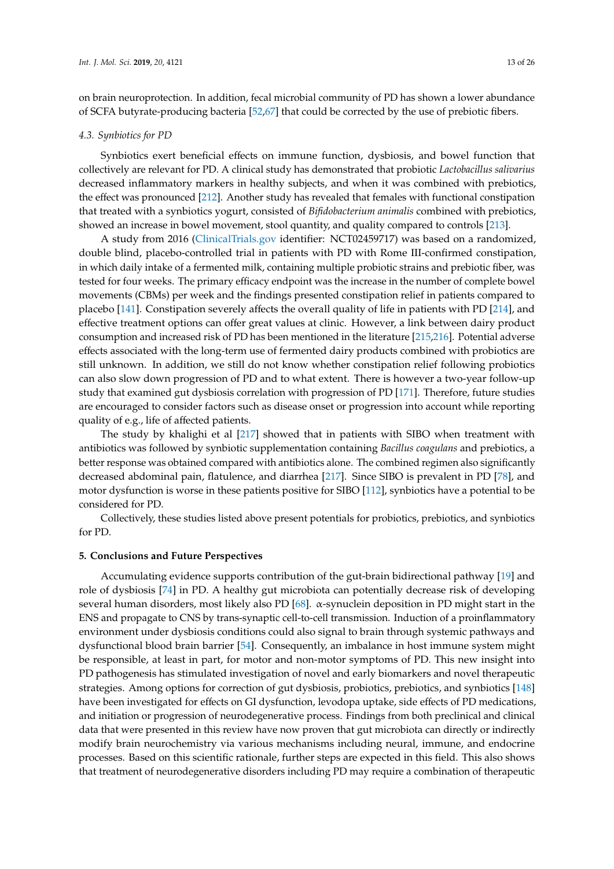on brain neuroprotection. In addition, fecal microbial community of PD has shown a lower abundance of SCFA butyrate-producing bacteria [\[52,](#page-16-13)[67\]](#page-17-7) that could be corrected by the use of prebiotic fibers.

#### *4.3. Synbiotics for PD*

Synbiotics exert beneficial effects on immune function, dysbiosis, and bowel function that collectively are relevant for PD. A clinical study has demonstrated that probiotic *Lactobacillus salivarius* decreased inflammatory markers in healthy subjects, and when it was combined with prebiotics, the effect was pronounced [\[212\]](#page-24-7). Another study has revealed that females with functional constipation that treated with a synbiotics yogurt, consisted of *Bifidobacterium animalis* combined with prebiotics, showed an increase in bowel movement, stool quantity, and quality compared to controls [\[213\]](#page-24-8).

A study from 2016 [\(ClinicalTrials.gov](ClinicalTrials.gov) identifier: NCT02459717) was based on a randomized, double blind, placebo-controlled trial in patients with PD with Rome III-confirmed constipation, in which daily intake of a fermented milk, containing multiple probiotic strains and prebiotic fiber, was tested for four weeks. The primary efficacy endpoint was the increase in the number of complete bowel movements (CBMs) per week and the findings presented constipation relief in patients compared to placebo [\[141\]](#page-20-24). Constipation severely affects the overall quality of life in patients with PD [\[214\]](#page-24-9), and effective treatment options can offer great values at clinic. However, a link between dairy product consumption and increased risk of PD has been mentioned in the literature [\[215](#page-24-10)[,216\]](#page-24-11). Potential adverse effects associated with the long-term use of fermented dairy products combined with probiotics are still unknown. In addition, we still do not know whether constipation relief following probiotics can also slow down progression of PD and to what extent. There is however a two-year follow-up study that examined gut dysbiosis correlation with progression of PD [\[171\]](#page-22-7). Therefore, future studies are encouraged to consider factors such as disease onset or progression into account while reporting quality of e.g., life of affected patients.

The study by khalighi et al [\[217\]](#page-24-12) showed that in patients with SIBO when treatment with antibiotics was followed by synbiotic supplementation containing *Bacillus coagulans* and prebiotics, a better response was obtained compared with antibiotics alone. The combined regimen also significantly decreased abdominal pain, flatulence, and diarrhea [\[217\]](#page-24-12). Since SIBO is prevalent in PD [\[78\]](#page-17-10), and motor dysfunction is worse in these patients positive for SIBO [\[112\]](#page-19-9), synbiotics have a potential to be considered for PD.

Collectively, these studies listed above present potentials for probiotics, prebiotics, and synbiotics for PD.

#### **5. Conclusions and Future Perspectives**

Accumulating evidence supports contribution of the gut-brain bidirectional pathway [\[19\]](#page-15-3) and role of dysbiosis [\[74\]](#page-17-14) in PD. A healthy gut microbiota can potentially decrease risk of developing several human disorders, most likely also PD [\[68\]](#page-17-8). α-synuclein deposition in PD might start in the ENS and propagate to CNS by trans-synaptic cell-to-cell transmission. Induction of a proinflammatory environment under dysbiosis conditions could also signal to brain through systemic pathways and dysfunctional blood brain barrier [\[54\]](#page-16-15). Consequently, an imbalance in host immune system might be responsible, at least in part, for motor and non-motor symptoms of PD. This new insight into PD pathogenesis has stimulated investigation of novel and early biomarkers and novel therapeutic strategies. Among options for correction of gut dysbiosis, probiotics, prebiotics, and synbiotics [\[148\]](#page-21-4) have been investigated for effects on GI dysfunction, levodopa uptake, side effects of PD medications, and initiation or progression of neurodegenerative process. Findings from both preclinical and clinical data that were presented in this review have now proven that gut microbiota can directly or indirectly modify brain neurochemistry via various mechanisms including neural, immune, and endocrine processes. Based on this scientific rationale, further steps are expected in this field. This also shows that treatment of neurodegenerative disorders including PD may require a combination of therapeutic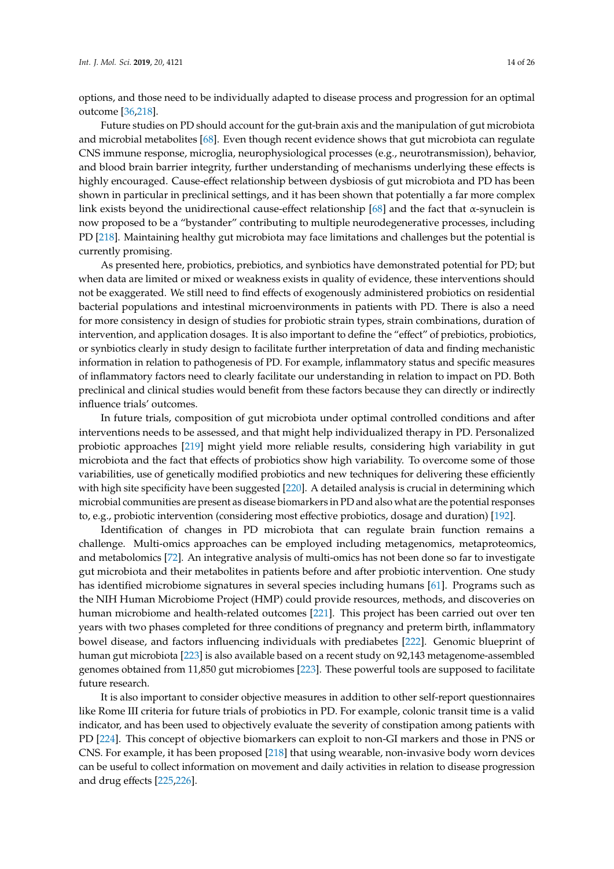options, and those need to be individually adapted to disease process and progression for an optimal outcome [\[36](#page-15-18)[,218\]](#page-24-13).

Future studies on PD should account for the gut-brain axis and the manipulation of gut microbiota and microbial metabolites [\[68\]](#page-17-8). Even though recent evidence shows that gut microbiota can regulate CNS immune response, microglia, neurophysiological processes (e.g., neurotransmission), behavior, and blood brain barrier integrity, further understanding of mechanisms underlying these effects is highly encouraged. Cause-effect relationship between dysbiosis of gut microbiota and PD has been shown in particular in preclinical settings, and it has been shown that potentially a far more complex link exists beyond the unidirectional cause-effect relationship  $[68]$  and the fact that  $\alpha$ -synuclein is now proposed to be a "bystander" contributing to multiple neurodegenerative processes, including PD [\[218\]](#page-24-13). Maintaining healthy gut microbiota may face limitations and challenges but the potential is currently promising.

As presented here, probiotics, prebiotics, and synbiotics have demonstrated potential for PD; but when data are limited or mixed or weakness exists in quality of evidence, these interventions should not be exaggerated. We still need to find effects of exogenously administered probiotics on residential bacterial populations and intestinal microenvironments in patients with PD. There is also a need for more consistency in design of studies for probiotic strain types, strain combinations, duration of intervention, and application dosages. It is also important to define the "effect" of prebiotics, probiotics, or synbiotics clearly in study design to facilitate further interpretation of data and finding mechanistic information in relation to pathogenesis of PD. For example, inflammatory status and specific measures of inflammatory factors need to clearly facilitate our understanding in relation to impact on PD. Both preclinical and clinical studies would benefit from these factors because they can directly or indirectly influence trials' outcomes.

In future trials, composition of gut microbiota under optimal controlled conditions and after interventions needs to be assessed, and that might help individualized therapy in PD. Personalized probiotic approaches [\[219\]](#page-25-0) might yield more reliable results, considering high variability in gut microbiota and the fact that effects of probiotics show high variability. To overcome some of those variabilities, use of genetically modified probiotics and new techniques for delivering these efficiently with high site specificity have been suggested [\[220\]](#page-25-1). A detailed analysis is crucial in determining which microbial communities are present as disease biomarkers in PD and also what are the potential responses to, e.g., probiotic intervention (considering most effective probiotics, dosage and duration) [\[192\]](#page-23-8).

Identification of changes in PD microbiota that can regulate brain function remains a challenge. Multi-omics approaches can be employed including metagenomics, metaproteomics, and metabolomics [\[72\]](#page-17-16). An integrative analysis of multi-omics has not been done so far to investigate gut microbiota and their metabolites in patients before and after probiotic intervention. One study has identified microbiome signatures in several species including humans [\[61\]](#page-17-1). Programs such as the NIH Human Microbiome Project (HMP) could provide resources, methods, and discoveries on human microbiome and health-related outcomes [\[221\]](#page-25-2). This project has been carried out over ten years with two phases completed for three conditions of pregnancy and preterm birth, inflammatory bowel disease, and factors influencing individuals with prediabetes [\[222\]](#page-25-3). Genomic blueprint of human gut microbiota [\[223\]](#page-25-4) is also available based on a recent study on 92,143 metagenome-assembled genomes obtained from 11,850 gut microbiomes [\[223\]](#page-25-4). These powerful tools are supposed to facilitate future research.

It is also important to consider objective measures in addition to other self-report questionnaires like Rome III criteria for future trials of probiotics in PD. For example, colonic transit time is a valid indicator, and has been used to objectively evaluate the severity of constipation among patients with PD [\[224\]](#page-25-5). This concept of objective biomarkers can exploit to non-GI markers and those in PNS or CNS. For example, it has been proposed [\[218\]](#page-24-13) that using wearable, non-invasive body worn devices can be useful to collect information on movement and daily activities in relation to disease progression and drug effects [\[225,](#page-25-6)[226\]](#page-25-7).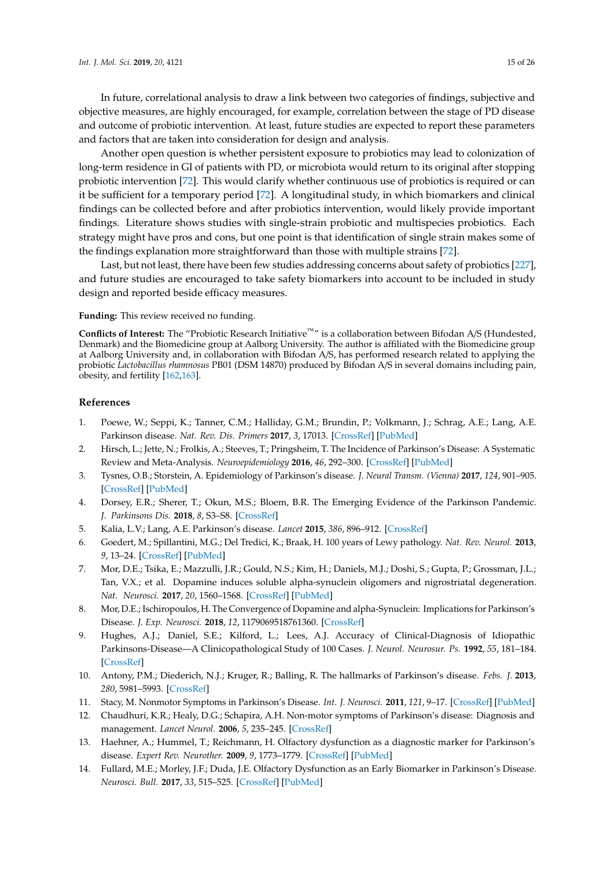In future, correlational analysis to draw a link between two categories of findings, subjective and

objective measures, are highly encouraged, for example, correlation between the stage of PD disease and outcome of probiotic intervention. At least, future studies are expected to report these parameters and factors that are taken into consideration for design and analysis.

Another open question is whether persistent exposure to probiotics may lead to colonization of long-term residence in GI of patients with PD, or microbiota would return to its original after stopping probiotic intervention [\[72\]](#page-17-16). This would clarify whether continuous use of probiotics is required or can it be sufficient for a temporary period [\[72\]](#page-17-16). A longitudinal study, in which biomarkers and clinical findings can be collected before and after probiotics intervention, would likely provide important findings. Literature shows studies with single-strain probiotic and multispecies probiotics. Each strategy might have pros and cons, but one point is that identification of single strain makes some of the findings explanation more straightforward than those with multiple strains [\[72\]](#page-17-16).

Last, but not least, there have been few studies addressing concerns about safety of probiotics [\[227\]](#page-25-8), and future studies are encouraged to take safety biomarkers into account to be included in study design and reported beside efficacy measures.

## **Funding:** This review received no funding.

**Conflicts of Interest:** The "Probiotic Research Initiative™" is a collaboration between Bifodan A/S (Hundested, Denmark) and the Biomedicine group at Aalborg University. The author is affiliated with the Biomedicine group at Aalborg University and, in collaboration with Bifodan A/S, has performed research related to applying the probiotic *Lactobacillus rhamnosus* PB01 (DSM 14870) produced by Bifodan A/S in several domains including pain, obesity, and fertility [\[162](#page-21-16)[,163\]](#page-21-17).

## **References**

- <span id="page-14-0"></span>1. Poewe, W.; Seppi, K.; Tanner, C.M.; Halliday, G.M.; Brundin, P.; Volkmann, J.; Schrag, A.E.; Lang, A.E. Parkinson disease. *Nat. Rev. Dis. Primers* **2017**, *3*, 17013. [\[CrossRef\]](http://dx.doi.org/10.1038/nrdp.2017.13) [\[PubMed\]](http://www.ncbi.nlm.nih.gov/pubmed/28332488)
- <span id="page-14-1"></span>2. Hirsch, L.; Jette, N.; Frolkis, A.; Steeves, T.; Pringsheim, T. The Incidence of Parkinson's Disease: A Systematic Review and Meta-Analysis. *Neuroepidemiology* **2016**, *46*, 292–300. [\[CrossRef\]](http://dx.doi.org/10.1159/000445751) [\[PubMed\]](http://www.ncbi.nlm.nih.gov/pubmed/27105081)
- <span id="page-14-2"></span>3. Tysnes, O.B.; Storstein, A. Epidemiology of Parkinson's disease. *J. Neural Transm. (Vienna)* **2017**, *124*, 901–905. [\[CrossRef\]](http://dx.doi.org/10.1007/s00702-017-1686-y) [\[PubMed\]](http://www.ncbi.nlm.nih.gov/pubmed/28150045)
- <span id="page-14-3"></span>4. Dorsey, E.R.; Sherer, T.; Okun, M.S.; Bloem, B.R. The Emerging Evidence of the Parkinson Pandemic. *J. Parkinsons Dis.* **2018**, *8*, S3–S8. [\[CrossRef\]](http://dx.doi.org/10.3233/JPD-181474)
- <span id="page-14-4"></span>5. Kalia, L.V.; Lang, A.E. Parkinson's disease. *Lancet* **2015**, *386*, 896–912. [\[CrossRef\]](http://dx.doi.org/10.1016/S0140-6736(14)61393-3)
- <span id="page-14-5"></span>6. Goedert, M.; Spillantini, M.G.; Del Tredici, K.; Braak, H. 100 years of Lewy pathology. *Nat. Rev. Neurol.* **2013**, *9*, 13–24. [\[CrossRef\]](http://dx.doi.org/10.1038/nrneurol.2012.242) [\[PubMed\]](http://www.ncbi.nlm.nih.gov/pubmed/23183883)
- <span id="page-14-6"></span>7. Mor, D.E.; Tsika, E.; Mazzulli, J.R.; Gould, N.S.; Kim, H.; Daniels, M.J.; Doshi, S.; Gupta, P.; Grossman, J.L.; Tan, V.X.; et al. Dopamine induces soluble alpha-synuclein oligomers and nigrostriatal degeneration. *Nat. Neurosci.* **2017**, *20*, 1560–1568. [\[CrossRef\]](http://dx.doi.org/10.1038/nn.4641) [\[PubMed\]](http://www.ncbi.nlm.nih.gov/pubmed/28920936)
- <span id="page-14-7"></span>8. Mor, D.E.; Ischiropoulos, H. The Convergence of Dopamine and alpha-Synuclein: Implications for Parkinson's Disease. *J. Exp. Neurosci.* **2018**, *12*, 1179069518761360. [\[CrossRef\]](http://dx.doi.org/10.1177/1179069518761360)
- <span id="page-14-8"></span>9. Hughes, A.J.; Daniel, S.E.; Kilford, L.; Lees, A.J. Accuracy of Clinical-Diagnosis of Idiopathic Parkinsons-Disease—A Clinicopathological Study of 100 Cases. *J. Neurol. Neurosur. Ps.* **1992**, *55*, 181–184. [\[CrossRef\]](http://dx.doi.org/10.1136/jnnp.55.3.181)
- <span id="page-14-9"></span>10. Antony, P.M.; Diederich, N.J.; Kruger, R.; Balling, R. The hallmarks of Parkinson's disease. *Febs. J.* **2013**, *280*, 5981–5993. [\[CrossRef\]](http://dx.doi.org/10.1111/febs.12335)
- <span id="page-14-10"></span>11. Stacy, M. Nonmotor Symptoms in Parkinson's Disease. *Int. J. Neurosci.* **2011**, *121*, 9–17. [\[CrossRef\]](http://dx.doi.org/10.3109/00207454.2011.620196) [\[PubMed\]](http://www.ncbi.nlm.nih.gov/pubmed/22035025)
- <span id="page-14-11"></span>12. Chaudhuri, K.R.; Healy, D.G.; Schapira, A.H. Non-motor symptoms of Parkinson's disease: Diagnosis and management. *Lancet Neurol.* **2006**, *5*, 235–245. [\[CrossRef\]](http://dx.doi.org/10.1016/S1474-4422(06)70373-8)
- <span id="page-14-12"></span>13. Haehner, A.; Hummel, T.; Reichmann, H. Olfactory dysfunction as a diagnostic marker for Parkinson's disease. *Expert Rev. Neurother.* **2009**, *9*, 1773–1779. [\[CrossRef\]](http://dx.doi.org/10.1586/ern.09.115) [\[PubMed\]](http://www.ncbi.nlm.nih.gov/pubmed/19951136)
- <span id="page-14-13"></span>14. Fullard, M.E.; Morley, J.F.; Duda, J.E. Olfactory Dysfunction as an Early Biomarker in Parkinson's Disease. *Neurosci. Bull.* **2017**, *33*, 515–525. [\[CrossRef\]](http://dx.doi.org/10.1007/s12264-017-0170-x) [\[PubMed\]](http://www.ncbi.nlm.nih.gov/pubmed/28831680)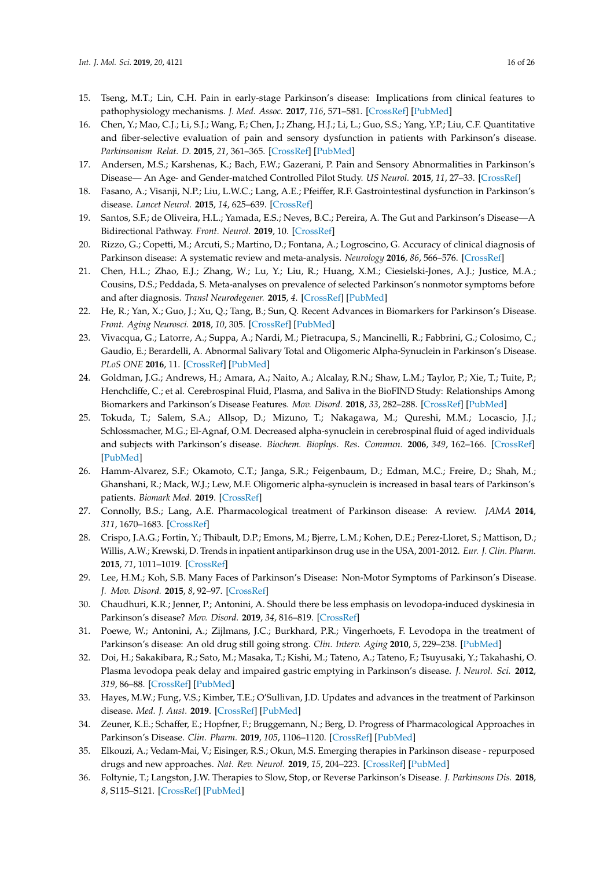- <span id="page-15-0"></span>15. Tseng, M.T.; Lin, C.H. Pain in early-stage Parkinson's disease: Implications from clinical features to pathophysiology mechanisms. *J. Med. Assoc.* **2017**, *116*, 571–581. [\[CrossRef\]](http://dx.doi.org/10.1016/j.jfma.2017.04.024) [\[PubMed\]](http://www.ncbi.nlm.nih.gov/pubmed/28532582)
- 16. Chen, Y.; Mao, C.J.; Li, S.J.; Wang, F.; Chen, J.; Zhang, H.J.; Li, L.; Guo, S.S.; Yang, Y.P.; Liu, C.F. Quantitative and fiber-selective evaluation of pain and sensory dysfunction in patients with Parkinson's disease. *Parkinsonism Relat. D.* **2015**, *21*, 361–365. [\[CrossRef\]](http://dx.doi.org/10.1016/j.parkreldis.2015.01.008) [\[PubMed\]](http://www.ncbi.nlm.nih.gov/pubmed/25630889)
- <span id="page-15-1"></span>17. Andersen, M.S.; Karshenas, K.; Bach, F.W.; Gazerani, P. Pain and Sensory Abnormalities in Parkinson's Disease— An Age- and Gender-matched Controlled Pilot Study. *US Neurol.* **2015**, *11*, 27–33. [\[CrossRef\]](http://dx.doi.org/10.17925/USN.2015.11.01.27)
- <span id="page-15-2"></span>18. Fasano, A.; Visanji, N.P.; Liu, L.W.C.; Lang, A.E.; Pfeiffer, R.F. Gastrointestinal dysfunction in Parkinson's disease. *Lancet Neurol.* **2015**, *14*, 625–639. [\[CrossRef\]](http://dx.doi.org/10.1016/S1474-4422(15)00007-1)
- <span id="page-15-3"></span>19. Santos, S.F.; de Oliveira, H.L.; Yamada, E.S.; Neves, B.C.; Pereira, A. The Gut and Parkinson's Disease—A Bidirectional Pathway. *Front. Neurol.* **2019**, 10. [\[CrossRef\]](http://dx.doi.org/10.3389/fneur.2019.00574)
- <span id="page-15-4"></span>20. Rizzo, G.; Copetti, M.; Arcuti, S.; Martino, D.; Fontana, A.; Logroscino, G. Accuracy of clinical diagnosis of Parkinson disease: A systematic review and meta-analysis. *Neurology* **2016**, *86*, 566–576. [\[CrossRef\]](http://dx.doi.org/10.1212/WNL.0000000000002350)
- <span id="page-15-5"></span>21. Chen, H.L.; Zhao, E.J.; Zhang, W.; Lu, Y.; Liu, R.; Huang, X.M.; Ciesielski-Jones, A.J.; Justice, M.A.; Cousins, D.S.; Peddada, S. Meta-analyses on prevalence of selected Parkinson's nonmotor symptoms before and after diagnosis. *Transl Neurodegener.* **2015**, *4*. [\[CrossRef\]](http://dx.doi.org/10.1186/1750-1326-10-4) [\[PubMed\]](http://www.ncbi.nlm.nih.gov/pubmed/26013581)
- <span id="page-15-6"></span>22. He, R.; Yan, X.; Guo, J.; Xu, Q.; Tang, B.; Sun, Q. Recent Advances in Biomarkers for Parkinson's Disease. *Front. Aging Neurosci.* **2018**, *10*, 305. [\[CrossRef\]](http://dx.doi.org/10.3389/fnagi.2018.00305) [\[PubMed\]](http://www.ncbi.nlm.nih.gov/pubmed/30364199)
- <span id="page-15-7"></span>23. Vivacqua, G.; Latorre, A.; Suppa, A.; Nardi, M.; Pietracupa, S.; Mancinelli, R.; Fabbrini, G.; Colosimo, C.; Gaudio, E.; Berardelli, A. Abnormal Salivary Total and Oligomeric Alpha-Synuclein in Parkinson's Disease. *PLoS ONE* **2016**, 11. [\[CrossRef\]](http://dx.doi.org/10.1371/journal.pone.0151156) [\[PubMed\]](http://www.ncbi.nlm.nih.gov/pubmed/27011009)
- 24. Goldman, J.G.; Andrews, H.; Amara, A.; Naito, A.; Alcalay, R.N.; Shaw, L.M.; Taylor, P.; Xie, T.; Tuite, P.; Henchcliffe, C.; et al. Cerebrospinal Fluid, Plasma, and Saliva in the BioFIND Study: Relationships Among Biomarkers and Parkinson's Disease Features. *Mov. Disord.* **2018**, *33*, 282–288. [\[CrossRef\]](http://dx.doi.org/10.1002/mds.27232) [\[PubMed\]](http://www.ncbi.nlm.nih.gov/pubmed/29205509)
- 25. Tokuda, T.; Salem, S.A.; Allsop, D.; Mizuno, T.; Nakagawa, M.; Qureshi, M.M.; Locascio, J.J.; Schlossmacher, M.G.; El-Agnaf, O.M. Decreased alpha-synuclein in cerebrospinal fluid of aged individuals and subjects with Parkinson's disease. *Biochem. Biophys. Res. Commun.* **2006**, *349*, 162–166. [\[CrossRef\]](http://dx.doi.org/10.1016/j.bbrc.2006.08.024) [\[PubMed\]](http://www.ncbi.nlm.nih.gov/pubmed/16930553)
- <span id="page-15-8"></span>26. Hamm-Alvarez, S.F.; Okamoto, C.T.; Janga, S.R.; Feigenbaum, D.; Edman, M.C.; Freire, D.; Shah, M.; Ghanshani, R.; Mack, W.J.; Lew, M.F. Oligomeric alpha-synuclein is increased in basal tears of Parkinson's patients. *Biomark Med.* **2019**. [\[CrossRef\]](http://dx.doi.org/10.2217/bmm-2019-0167)
- <span id="page-15-9"></span>27. Connolly, B.S.; Lang, A.E. Pharmacological treatment of Parkinson disease: A review. *JAMA* **2014**, *311*, 1670–1683. [\[CrossRef\]](http://dx.doi.org/10.1001/jama.2014.3654)
- <span id="page-15-10"></span>28. Crispo, J.A.G.; Fortin, Y.; Thibault, D.P.; Emons, M.; Bjerre, L.M.; Kohen, D.E.; Perez-Lloret, S.; Mattison, D.; Willis, A.W.; Krewski, D. Trends in inpatient antiparkinson drug use in the USA, 2001-2012. *Eur. J. Clin. Pharm.* **2015**, *71*, 1011–1019. [\[CrossRef\]](http://dx.doi.org/10.1007/s00228-015-1881-4)
- <span id="page-15-11"></span>29. Lee, H.M.; Koh, S.B. Many Faces of Parkinson's Disease: Non-Motor Symptoms of Parkinson's Disease. *J. Mov. Disord.* **2015**, *8*, 92–97. [\[CrossRef\]](http://dx.doi.org/10.14802/jmd.15003)
- <span id="page-15-12"></span>30. Chaudhuri, K.R.; Jenner, P.; Antonini, A. Should there be less emphasis on levodopa-induced dyskinesia in Parkinson's disease? *Mov. Disord.* **2019**, *34*, 816–819. [\[CrossRef\]](http://dx.doi.org/10.1002/mds.27691)
- <span id="page-15-13"></span>31. Poewe, W.; Antonini, A.; Zijlmans, J.C.; Burkhard, P.R.; Vingerhoets, F. Levodopa in the treatment of Parkinson's disease: An old drug still going strong. *Clin. Interv. Aging* **2010**, *5*, 229–238. [\[PubMed\]](http://www.ncbi.nlm.nih.gov/pubmed/20852670)
- <span id="page-15-14"></span>32. Doi, H.; Sakakibara, R.; Sato, M.; Masaka, T.; Kishi, M.; Tateno, A.; Tateno, F.; Tsuyusaki, Y.; Takahashi, O. Plasma levodopa peak delay and impaired gastric emptying in Parkinson's disease. *J. Neurol. Sci.* **2012**, *319*, 86–88. [\[CrossRef\]](http://dx.doi.org/10.1016/j.jns.2012.05.010) [\[PubMed\]](http://www.ncbi.nlm.nih.gov/pubmed/22632782)
- <span id="page-15-15"></span>33. Hayes, M.W.; Fung, V.S.; Kimber, T.E.; O'Sullivan, J.D. Updates and advances in the treatment of Parkinson disease. *Med. J. Aust.* **2019**. [\[CrossRef\]](http://dx.doi.org/10.5694/mja2.50224) [\[PubMed\]](http://www.ncbi.nlm.nih.gov/pubmed/31203580)
- <span id="page-15-16"></span>34. Zeuner, K.E.; Schaffer, E.; Hopfner, F.; Bruggemann, N.; Berg, D. Progress of Pharmacological Approaches in Parkinson's Disease. *Clin. Pharm.* **2019**, *105*, 1106–1120. [\[CrossRef\]](http://dx.doi.org/10.1002/cpt.1374) [\[PubMed\]](http://www.ncbi.nlm.nih.gov/pubmed/30661251)
- <span id="page-15-17"></span>35. Elkouzi, A.; Vedam-Mai, V.; Eisinger, R.S.; Okun, M.S. Emerging therapies in Parkinson disease - repurposed drugs and new approaches. *Nat. Rev. Neurol.* **2019**, *15*, 204–223. [\[CrossRef\]](http://dx.doi.org/10.1038/s41582-019-0155-7) [\[PubMed\]](http://www.ncbi.nlm.nih.gov/pubmed/30867588)
- <span id="page-15-18"></span>36. Foltynie, T.; Langston, J.W. Therapies to Slow, Stop, or Reverse Parkinson's Disease. *J. Parkinsons Dis.* **2018**, *8*, S115–S121. [\[CrossRef\]](http://dx.doi.org/10.3233/JPD-181481) [\[PubMed\]](http://www.ncbi.nlm.nih.gov/pubmed/30584162)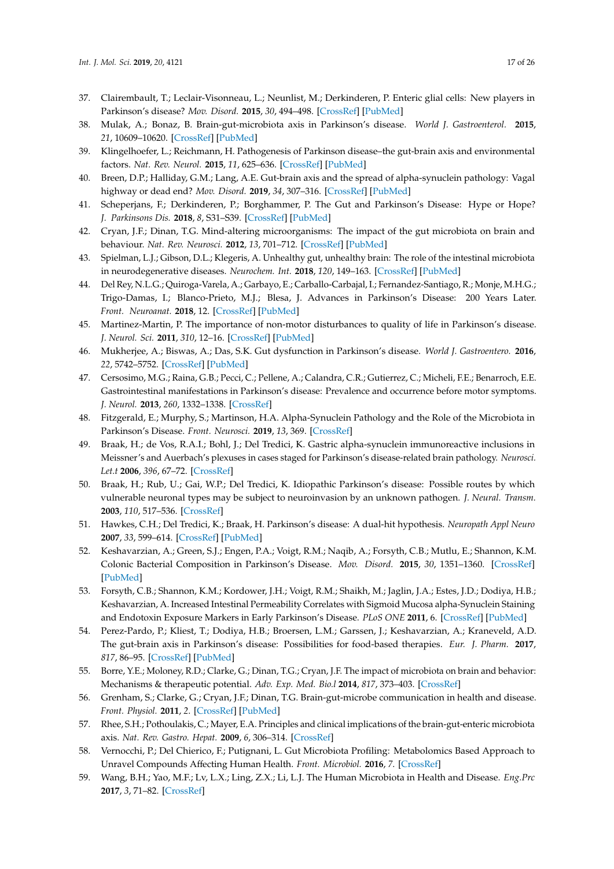- <span id="page-16-0"></span>37. Clairembault, T.; Leclair-Visonneau, L.; Neunlist, M.; Derkinderen, P. Enteric glial cells: New players in Parkinson's disease? *Mov. Disord.* **2015**, *30*, 494–498. [\[CrossRef\]](http://dx.doi.org/10.1002/mds.25979) [\[PubMed\]](http://www.ncbi.nlm.nih.gov/pubmed/25100667)
- <span id="page-16-1"></span>38. Mulak, A.; Bonaz, B. Brain-gut-microbiota axis in Parkinson's disease. *World J. Gastroenterol.* **2015**, *21*, 10609–10620. [\[CrossRef\]](http://dx.doi.org/10.3748/wjg.v21.i37.10609) [\[PubMed\]](http://www.ncbi.nlm.nih.gov/pubmed/26457021)
- <span id="page-16-2"></span>39. Klingelhoefer, L.; Reichmann, H. Pathogenesis of Parkinson disease–the gut-brain axis and environmental factors. *Nat. Rev. Neurol.* **2015**, *11*, 625–636. [\[CrossRef\]](http://dx.doi.org/10.1038/nrneurol.2015.197) [\[PubMed\]](http://www.ncbi.nlm.nih.gov/pubmed/26503923)
- <span id="page-16-19"></span>40. Breen, D.P.; Halliday, G.M.; Lang, A.E. Gut-brain axis and the spread of alpha-synuclein pathology: Vagal highway or dead end? *Mov. Disord.* **2019**, *34*, 307–316. [\[CrossRef\]](http://dx.doi.org/10.1002/mds.27556) [\[PubMed\]](http://www.ncbi.nlm.nih.gov/pubmed/30653258)
- <span id="page-16-20"></span>41. Scheperjans, F.; Derkinderen, P.; Borghammer, P. The Gut and Parkinson's Disease: Hype or Hope? *J. Parkinsons Dis.* **2018**, *8*, S31–S39. [\[CrossRef\]](http://dx.doi.org/10.3233/JPD-181477) [\[PubMed\]](http://www.ncbi.nlm.nih.gov/pubmed/30584161)
- <span id="page-16-3"></span>42. Cryan, J.F.; Dinan, T.G. Mind-altering microorganisms: The impact of the gut microbiota on brain and behaviour. *Nat. Rev. Neurosci.* **2012**, *13*, 701–712. [\[CrossRef\]](http://dx.doi.org/10.1038/nrn3346) [\[PubMed\]](http://www.ncbi.nlm.nih.gov/pubmed/22968153)
- <span id="page-16-4"></span>43. Spielman, L.J.; Gibson, D.L.; Klegeris, A. Unhealthy gut, unhealthy brain: The role of the intestinal microbiota in neurodegenerative diseases. *Neurochem. Int.* **2018**, *120*, 149–163. [\[CrossRef\]](http://dx.doi.org/10.1016/j.neuint.2018.08.005) [\[PubMed\]](http://www.ncbi.nlm.nih.gov/pubmed/30114473)
- <span id="page-16-5"></span>44. Del Rey, N.L.G.; Quiroga-Varela, A.; Garbayo, E.; Carballo-Carbajal, I.; Fernandez-Santiago, R.; Monje, M.H.G.; Trigo-Damas, I.; Blanco-Prieto, M.J.; Blesa, J. Advances in Parkinson's Disease: 200 Years Later. *Front. Neuroanat.* **2018**, 12. [\[CrossRef\]](http://dx.doi.org/10.3389/fnana.2018.00113) [\[PubMed\]](http://www.ncbi.nlm.nih.gov/pubmed/30618654)
- <span id="page-16-6"></span>45. Martinez-Martin, P. The importance of non-motor disturbances to quality of life in Parkinson's disease. *J. Neurol. Sci.* **2011**, *310*, 12–16. [\[CrossRef\]](http://dx.doi.org/10.1016/j.jns.2011.05.006) [\[PubMed\]](http://www.ncbi.nlm.nih.gov/pubmed/21621226)
- <span id="page-16-7"></span>46. Mukherjee, A.; Biswas, A.; Das, S.K. Gut dysfunction in Parkinson's disease. *World J. Gastroentero.* **2016**, *22*, 5742–5752. [\[CrossRef\]](http://dx.doi.org/10.3748/wjg.v22.i25.5742) [\[PubMed\]](http://www.ncbi.nlm.nih.gov/pubmed/27433087)
- <span id="page-16-8"></span>47. Cersosimo, M.G.; Raina, G.B.; Pecci, C.; Pellene, A.; Calandra, C.R.; Gutierrez, C.; Micheli, F.E.; Benarroch, E.E. Gastrointestinal manifestations in Parkinson's disease: Prevalence and occurrence before motor symptoms. *J. Neurol.* **2013**, *260*, 1332–1338. [\[CrossRef\]](http://dx.doi.org/10.1007/s00415-012-6801-2)
- <span id="page-16-9"></span>48. Fitzgerald, E.; Murphy, S.; Martinson, H.A. Alpha-Synuclein Pathology and the Role of the Microbiota in Parkinson's Disease. *Front. Neurosci.* **2019**, *13*, 369. [\[CrossRef\]](http://dx.doi.org/10.3389/fnins.2019.00369)
- <span id="page-16-10"></span>49. Braak, H.; de Vos, R.A.I.; Bohl, J.; Del Tredici, K. Gastric alpha-synuclein immunoreactive inclusions in Meissner's and Auerbach's plexuses in cases staged for Parkinson's disease-related brain pathology. *Neurosci. Let.t* **2006**, *396*, 67–72. [\[CrossRef\]](http://dx.doi.org/10.1016/j.neulet.2005.11.012)
- <span id="page-16-11"></span>50. Braak, H.; Rub, U.; Gai, W.P.; Del Tredici, K. Idiopathic Parkinson's disease: Possible routes by which vulnerable neuronal types may be subject to neuroinvasion by an unknown pathogen. *J. Neural. Transm.* **2003**, *110*, 517–536. [\[CrossRef\]](http://dx.doi.org/10.1007/s00702-002-0808-2)
- <span id="page-16-12"></span>51. Hawkes, C.H.; Del Tredici, K.; Braak, H. Parkinson's disease: A dual-hit hypothesis. *Neuropath Appl Neuro* **2007**, *33*, 599–614. [\[CrossRef\]](http://dx.doi.org/10.1111/j.1365-2990.2007.00874.x) [\[PubMed\]](http://www.ncbi.nlm.nih.gov/pubmed/17961138)
- <span id="page-16-13"></span>52. Keshavarzian, A.; Green, S.J.; Engen, P.A.; Voigt, R.M.; Naqib, A.; Forsyth, C.B.; Mutlu, E.; Shannon, K.M. Colonic Bacterial Composition in Parkinson's Disease. *Mov. Disord.* **2015**, *30*, 1351–1360. [\[CrossRef\]](http://dx.doi.org/10.1002/mds.26307) [\[PubMed\]](http://www.ncbi.nlm.nih.gov/pubmed/26179554)
- <span id="page-16-14"></span>53. Forsyth, C.B.; Shannon, K.M.; Kordower, J.H.; Voigt, R.M.; Shaikh, M.; Jaglin, J.A.; Estes, J.D.; Dodiya, H.B.; Keshavarzian, A. Increased Intestinal Permeability Correlates with Sigmoid Mucosa alpha-Synuclein Staining and Endotoxin Exposure Markers in Early Parkinson's Disease. *PLoS ONE* **2011**, 6. [\[CrossRef\]](http://dx.doi.org/10.1371/journal.pone.0028032) [\[PubMed\]](http://www.ncbi.nlm.nih.gov/pubmed/22145021)
- <span id="page-16-15"></span>54. Perez-Pardo, P.; Kliest, T.; Dodiya, H.B.; Broersen, L.M.; Garssen, J.; Keshavarzian, A.; Kraneveld, A.D. The gut-brain axis in Parkinson's disease: Possibilities for food-based therapies. *Eur. J. Pharm.* **2017**, *817*, 86–95. [\[CrossRef\]](http://dx.doi.org/10.1016/j.ejphar.2017.05.042) [\[PubMed\]](http://www.ncbi.nlm.nih.gov/pubmed/28549787)
- <span id="page-16-16"></span>55. Borre, Y.E.; Moloney, R.D.; Clarke, G.; Dinan, T.G.; Cryan, J.F. The impact of microbiota on brain and behavior: Mechanisms & therapeutic potential. *Adv. Exp. Med. Bio.l* **2014**, *817*, 373–403. [\[CrossRef\]](http://dx.doi.org/10.1007/978-1-4939-0897-4_17)
- 56. Grenham, S.; Clarke, G.; Cryan, J.F.; Dinan, T.G. Brain-gut-microbe communication in health and disease. *Front. Physiol.* **2011**, *2*. [\[CrossRef\]](http://dx.doi.org/10.3389/fphys.2011.00094) [\[PubMed\]](http://www.ncbi.nlm.nih.gov/pubmed/22162969)
- <span id="page-16-17"></span>57. Rhee, S.H.; Pothoulakis, C.; Mayer, E.A. Principles and clinical implications of the brain-gut-enteric microbiota axis. *Nat. Rev. Gastro. Hepat.* **2009**, *6*, 306–314. [\[CrossRef\]](http://dx.doi.org/10.1038/nrgastro.2009.35)
- <span id="page-16-18"></span>58. Vernocchi, P.; Del Chierico, F.; Putignani, L. Gut Microbiota Profiling: Metabolomics Based Approach to Unravel Compounds Affecting Human Health. *Front. Microbiol.* **2016**, *7*. [\[CrossRef\]](http://dx.doi.org/10.3389/fmicb.2016.01144)
- 59. Wang, B.H.; Yao, M.F.; Lv, L.X.; Ling, Z.X.; Li, L.J. The Human Microbiota in Health and Disease. *Eng.Prc* **2017**, *3*, 71–82. [\[CrossRef\]](http://dx.doi.org/10.1016/J.ENG.2017.01.008)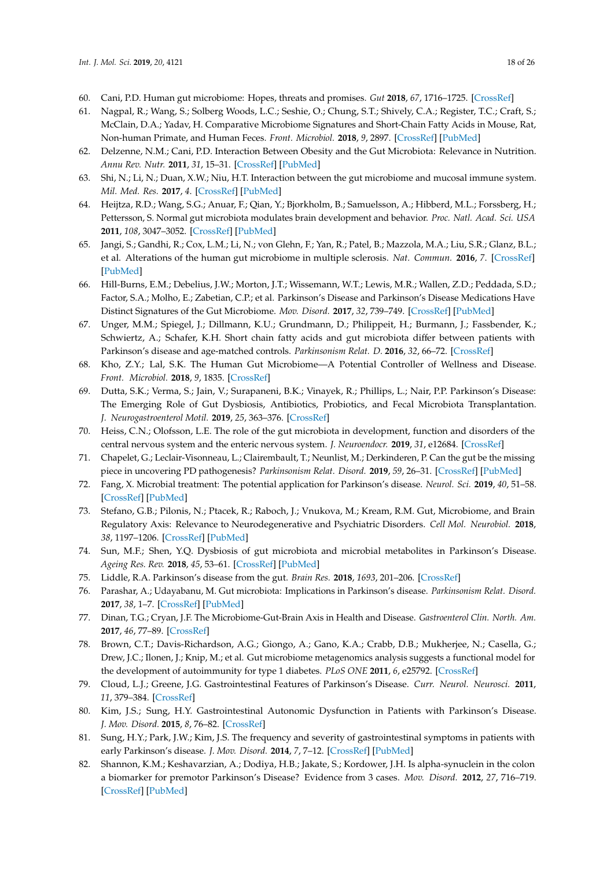- <span id="page-17-0"></span>60. Cani, P.D. Human gut microbiome: Hopes, threats and promises. *Gut* **2018**, *67*, 1716–1725. [\[CrossRef\]](http://dx.doi.org/10.1136/gutjnl-2018-316723)
- <span id="page-17-1"></span>61. Nagpal, R.; Wang, S.; Solberg Woods, L.C.; Seshie, O.; Chung, S.T.; Shively, C.A.; Register, T.C.; Craft, S.; McClain, D.A.; Yadav, H. Comparative Microbiome Signatures and Short-Chain Fatty Acids in Mouse, Rat, Non-human Primate, and Human Feces. *Front. Microbiol.* **2018**, *9*, 2897. [\[CrossRef\]](http://dx.doi.org/10.3389/fmicb.2018.02897) [\[PubMed\]](http://www.ncbi.nlm.nih.gov/pubmed/30555441)
- <span id="page-17-2"></span>62. Delzenne, N.M.; Cani, P.D. Interaction Between Obesity and the Gut Microbiota: Relevance in Nutrition. *Annu Rev. Nutr.* **2011**, *31*, 15–31. [\[CrossRef\]](http://dx.doi.org/10.1146/annurev-nutr-072610-145146) [\[PubMed\]](http://www.ncbi.nlm.nih.gov/pubmed/21568707)
- <span id="page-17-3"></span>63. Shi, N.; Li, N.; Duan, X.W.; Niu, H.T. Interaction between the gut microbiome and mucosal immune system. *Mil. Med. Res.* **2017**, *4*. [\[CrossRef\]](http://dx.doi.org/10.1186/s40779-017-0122-9) [\[PubMed\]](http://www.ncbi.nlm.nih.gov/pubmed/28465831)
- <span id="page-17-17"></span><span id="page-17-4"></span>64. Heijtza, R.D.; Wang, S.G.; Anuar, F.; Qian, Y.; Bjorkholm, B.; Samuelsson, A.; Hibberd, M.L.; Forssberg, H.; Pettersson, S. Normal gut microbiota modulates brain development and behavior. *Proc. Natl. Acad. Sci. USA* **2011**, *108*, 3047–3052. [\[CrossRef\]](http://dx.doi.org/10.1073/pnas.1010529108) [\[PubMed\]](http://www.ncbi.nlm.nih.gov/pubmed/21282636)
- <span id="page-17-5"></span>65. Jangi, S.; Gandhi, R.; Cox, L.M.; Li, N.; von Glehn, F.; Yan, R.; Patel, B.; Mazzola, M.A.; Liu, S.R.; Glanz, B.L.; et al. Alterations of the human gut microbiome in multiple sclerosis. *Nat. Commun.* **2016**, *7*. [\[CrossRef\]](http://dx.doi.org/10.1038/ncomms12015) [\[PubMed\]](http://www.ncbi.nlm.nih.gov/pubmed/27352007)
- <span id="page-17-6"></span>66. Hill-Burns, E.M.; Debelius, J.W.; Morton, J.T.; Wissemann, W.T.; Lewis, M.R.; Wallen, Z.D.; Peddada, S.D.; Factor, S.A.; Molho, E.; Zabetian, C.P.; et al. Parkinson's Disease and Parkinson's Disease Medications Have Distinct Signatures of the Gut Microbiome. *Mov. Disord.* **2017**, *32*, 739–749. [\[CrossRef\]](http://dx.doi.org/10.1002/mds.26942) [\[PubMed\]](http://www.ncbi.nlm.nih.gov/pubmed/28195358)
- <span id="page-17-7"></span>67. Unger, M.M.; Spiegel, J.; Dillmann, K.U.; Grundmann, D.; Philippeit, H.; Burmann, J.; Fassbender, K.; Schwiertz, A.; Schafer, K.H. Short chain fatty acids and gut microbiota differ between patients with Parkinson's disease and age-matched controls. *Parkinsonism Relat. D.* **2016**, *32*, 66–72. [\[CrossRef\]](http://dx.doi.org/10.1016/j.parkreldis.2016.08.019)
- <span id="page-17-8"></span>68. Kho, Z.Y.; Lal, S.K. The Human Gut Microbiome—A Potential Controller of Wellness and Disease. *Front. Microbiol.* **2018**, *9*, 1835. [\[CrossRef\]](http://dx.doi.org/10.3389/fmicb.2018.01835)
- <span id="page-17-9"></span>69. Dutta, S.K.; Verma, S.; Jain, V.; Surapaneni, B.K.; Vinayek, R.; Phillips, L.; Nair, P.P. Parkinson's Disease: The Emerging Role of Gut Dysbiosis, Antibiotics, Probiotics, and Fecal Microbiota Transplantation. *J. Neurogastroenterol Motil.* **2019**, *25*, 363–376. [\[CrossRef\]](http://dx.doi.org/10.5056/jnm19044)
- 70. Heiss, C.N.; Olofsson, L.E. The role of the gut microbiota in development, function and disorders of the central nervous system and the enteric nervous system. *J. Neuroendocr.* **2019**, *31*, e12684. [\[CrossRef\]](http://dx.doi.org/10.1111/jne.12684)
- 71. Chapelet, G.; Leclair-Visonneau, L.; Clairembault, T.; Neunlist, M.; Derkinderen, P. Can the gut be the missing piece in uncovering PD pathogenesis? *Parkinsonism Relat. Disord.* **2019**, *59*, 26–31. [\[CrossRef\]](http://dx.doi.org/10.1016/j.parkreldis.2018.11.014) [\[PubMed\]](http://www.ncbi.nlm.nih.gov/pubmed/30448099)
- <span id="page-17-16"></span>72. Fang, X. Microbial treatment: The potential application for Parkinson's disease. *Neurol. Sci.* **2019**, *40*, 51–58. [\[CrossRef\]](http://dx.doi.org/10.1007/s10072-018-3641-6) [\[PubMed\]](http://www.ncbi.nlm.nih.gov/pubmed/30415447)
- 73. Stefano, G.B.; Pilonis, N.; Ptacek, R.; Raboch, J.; Vnukova, M.; Kream, R.M. Gut, Microbiome, and Brain Regulatory Axis: Relevance to Neurodegenerative and Psychiatric Disorders. *Cell Mol. Neurobiol.* **2018**, *38*, 1197–1206. [\[CrossRef\]](http://dx.doi.org/10.1007/s10571-018-0589-2) [\[PubMed\]](http://www.ncbi.nlm.nih.gov/pubmed/29802603)
- <span id="page-17-14"></span>74. Sun, M.F.; Shen, Y.Q. Dysbiosis of gut microbiota and microbial metabolites in Parkinson's Disease. *Ageing Res. Rev.* **2018**, *45*, 53–61. [\[CrossRef\]](http://dx.doi.org/10.1016/j.arr.2018.04.004) [\[PubMed\]](http://www.ncbi.nlm.nih.gov/pubmed/29705121)
- 75. Liddle, R.A. Parkinson's disease from the gut. *Brain Res.* **2018**, *1693*, 201–206. [\[CrossRef\]](http://dx.doi.org/10.1016/j.brainres.2018.01.010)
- <span id="page-17-15"></span>76. Parashar, A.; Udayabanu, M. Gut microbiota: Implications in Parkinson's disease. *Parkinsonism Relat. Disord.* **2017**, *38*, 1–7. [\[CrossRef\]](http://dx.doi.org/10.1016/j.parkreldis.2017.02.002) [\[PubMed\]](http://www.ncbi.nlm.nih.gov/pubmed/28202372)
- 77. Dinan, T.G.; Cryan, J.F. The Microbiome-Gut-Brain Axis in Health and Disease. *Gastroenterol Clin. North. Am.* **2017**, *46*, 77–89. [\[CrossRef\]](http://dx.doi.org/10.1016/j.gtc.2016.09.007)
- <span id="page-17-10"></span>78. Brown, C.T.; Davis-Richardson, A.G.; Giongo, A.; Gano, K.A.; Crabb, D.B.; Mukherjee, N.; Casella, G.; Drew, J.C.; Ilonen, J.; Knip, M.; et al. Gut microbiome metagenomics analysis suggests a functional model for the development of autoimmunity for type 1 diabetes. *PLoS ONE* **2011**, *6*, e25792. [\[CrossRef\]](http://dx.doi.org/10.1371/journal.pone.0025792)
- <span id="page-17-11"></span>79. Cloud, L.J.; Greene, J.G. Gastrointestinal Features of Parkinson's Disease. *Curr. Neurol. Neurosci.* **2011**, *11*, 379–384. [\[CrossRef\]](http://dx.doi.org/10.1007/s11910-011-0204-0)
- 80. Kim, J.S.; Sung, H.Y. Gastrointestinal Autonomic Dysfunction in Patients with Parkinson's Disease. *J. Mov. Disord.* **2015**, *8*, 76–82. [\[CrossRef\]](http://dx.doi.org/10.14802/jmd.15008)
- <span id="page-17-12"></span>81. Sung, H.Y.; Park, J.W.; Kim, J.S. The frequency and severity of gastrointestinal symptoms in patients with early Parkinson's disease. *J. Mov. Disord.* **2014**, *7*, 7–12. [\[CrossRef\]](http://dx.doi.org/10.14802/jmd.14002) [\[PubMed\]](http://www.ncbi.nlm.nih.gov/pubmed/24926404)
- <span id="page-17-13"></span>82. Shannon, K.M.; Keshavarzian, A.; Dodiya, H.B.; Jakate, S.; Kordower, J.H. Is alpha-synuclein in the colon a biomarker for premotor Parkinson's Disease? Evidence from 3 cases. *Mov. Disord.* **2012**, *27*, 716–719. [\[CrossRef\]](http://dx.doi.org/10.1002/mds.25020) [\[PubMed\]](http://www.ncbi.nlm.nih.gov/pubmed/22550057)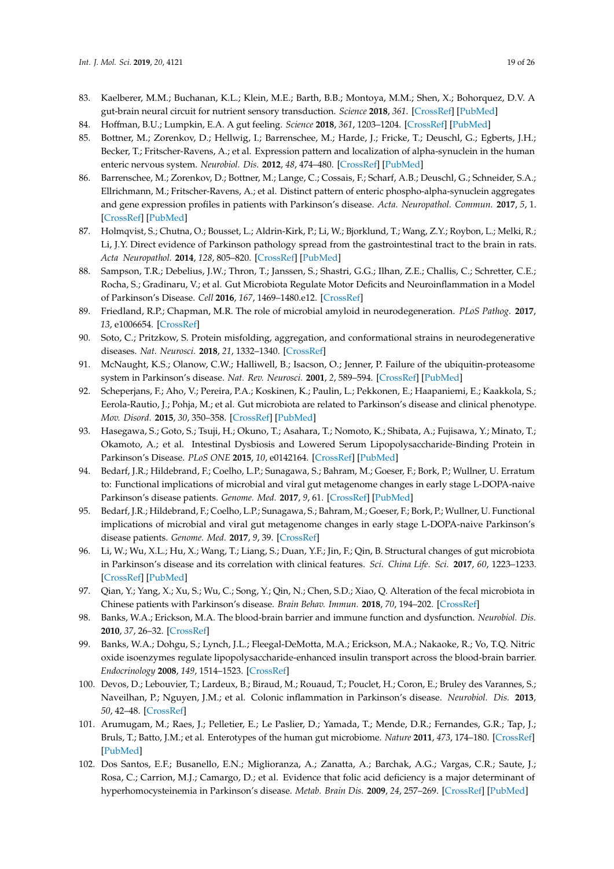- <span id="page-18-0"></span>83. Kaelberer, M.M.; Buchanan, K.L.; Klein, M.E.; Barth, B.B.; Montoya, M.M.; Shen, X.; Bohorquez, D.V. A gut-brain neural circuit for nutrient sensory transduction. *Science* **2018**, *361*. [\[CrossRef\]](http://dx.doi.org/10.1126/science.aat5236) [\[PubMed\]](http://www.ncbi.nlm.nih.gov/pubmed/30237325)
- <span id="page-18-1"></span>84. Hoffman, B.U.; Lumpkin, E.A. A gut feeling. *Science* **2018**, *361*, 1203–1204. [\[CrossRef\]](http://dx.doi.org/10.1126/science.aau9973) [\[PubMed\]](http://www.ncbi.nlm.nih.gov/pubmed/30237346)
- <span id="page-18-2"></span>85. Bottner, M.; Zorenkov, D.; Hellwig, I.; Barrenschee, M.; Harde, J.; Fricke, T.; Deuschl, G.; Egberts, J.H.; Becker, T.; Fritscher-Ravens, A.; et al. Expression pattern and localization of alpha-synuclein in the human enteric nervous system. *Neurobiol. Dis.* **2012**, *48*, 474–480. [\[CrossRef\]](http://dx.doi.org/10.1016/j.nbd.2012.07.018) [\[PubMed\]](http://www.ncbi.nlm.nih.gov/pubmed/22850485)
- <span id="page-18-3"></span>86. Barrenschee, M.; Zorenkov, D.; Bottner, M.; Lange, C.; Cossais, F.; Scharf, A.B.; Deuschl, G.; Schneider, S.A.; Ellrichmann, M.; Fritscher-Ravens, A.; et al. Distinct pattern of enteric phospho-alpha-synuclein aggregates and gene expression profiles in patients with Parkinson's disease. *Acta. Neuropathol. Commun.* **2017**, *5*, 1. [\[CrossRef\]](http://dx.doi.org/10.1186/s40478-016-0408-2) [\[PubMed\]](http://www.ncbi.nlm.nih.gov/pubmed/28057070)
- <span id="page-18-4"></span>87. Holmqvist, S.; Chutna, O.; Bousset, L.; Aldrin-Kirk, P.; Li, W.; Bjorklund, T.; Wang, Z.Y.; Roybon, L.; Melki, R.; Li, J.Y. Direct evidence of Parkinson pathology spread from the gastrointestinal tract to the brain in rats. *Acta Neuropathol.* **2014**, *128*, 805–820. [\[CrossRef\]](http://dx.doi.org/10.1007/s00401-014-1343-6) [\[PubMed\]](http://www.ncbi.nlm.nih.gov/pubmed/25296989)
- <span id="page-18-5"></span>88. Sampson, T.R.; Debelius, J.W.; Thron, T.; Janssen, S.; Shastri, G.G.; Ilhan, Z.E.; Challis, C.; Schretter, C.E.; Rocha, S.; Gradinaru, V.; et al. Gut Microbiota Regulate Motor Deficits and Neuroinflammation in a Model of Parkinson's Disease. *Cell* **2016**, *167*, 1469–1480.e12. [\[CrossRef\]](http://dx.doi.org/10.1016/j.cell.2016.11.018)
- <span id="page-18-6"></span>89. Friedland, R.P.; Chapman, M.R. The role of microbial amyloid in neurodegeneration. *PLoS Pathog.* **2017**, *13*, e1006654. [\[CrossRef\]](http://dx.doi.org/10.1371/journal.ppat.1006654)
- <span id="page-18-7"></span>90. Soto, C.; Pritzkow, S. Protein misfolding, aggregation, and conformational strains in neurodegenerative diseases. *Nat. Neurosci.* **2018**, *21*, 1332–1340. [\[CrossRef\]](http://dx.doi.org/10.1038/s41593-018-0235-9)
- <span id="page-18-8"></span>91. McNaught, K.S.; Olanow, C.W.; Halliwell, B.; Isacson, O.; Jenner, P. Failure of the ubiquitin-proteasome system in Parkinson's disease. *Nat. Rev. Neurosci.* **2001**, *2*, 589–594. [\[CrossRef\]](http://dx.doi.org/10.1038/35086067) [\[PubMed\]](http://www.ncbi.nlm.nih.gov/pubmed/11484002)
- <span id="page-18-9"></span>92. Scheperjans, F.; Aho, V.; Pereira, P.A.; Koskinen, K.; Paulin, L.; Pekkonen, E.; Haapaniemi, E.; Kaakkola, S.; Eerola-Rautio, J.; Pohja, M.; et al. Gut microbiota are related to Parkinson's disease and clinical phenotype. *Mov. Disord.* **2015**, *30*, 350–358. [\[CrossRef\]](http://dx.doi.org/10.1002/mds.26069) [\[PubMed\]](http://www.ncbi.nlm.nih.gov/pubmed/25476529)
- <span id="page-18-10"></span>93. Hasegawa, S.; Goto, S.; Tsuji, H.; Okuno, T.; Asahara, T.; Nomoto, K.; Shibata, A.; Fujisawa, Y.; Minato, T.; Okamoto, A.; et al. Intestinal Dysbiosis and Lowered Serum Lipopolysaccharide-Binding Protein in Parkinson's Disease. *PLoS ONE* **2015**, *10*, e0142164. [\[CrossRef\]](http://dx.doi.org/10.1371/journal.pone.0142164) [\[PubMed\]](http://www.ncbi.nlm.nih.gov/pubmed/26539989)
- <span id="page-18-11"></span>94. Bedarf, J.R.; Hildebrand, F.; Coelho, L.P.; Sunagawa, S.; Bahram, M.; Goeser, F.; Bork, P.; Wullner, U. Erratum to: Functional implications of microbial and viral gut metagenome changes in early stage L-DOPA-naive Parkinson's disease patients. *Genome. Med.* **2017**, *9*, 61. [\[CrossRef\]](http://dx.doi.org/10.1186/s13073-017-0451-z) [\[PubMed\]](http://www.ncbi.nlm.nih.gov/pubmed/28662719)
- <span id="page-18-12"></span>95. Bedarf, J.R.; Hildebrand, F.; Coelho, L.P.; Sunagawa, S.; Bahram, M.; Goeser, F.; Bork, P.; Wullner, U. Functional implications of microbial and viral gut metagenome changes in early stage L-DOPA-naive Parkinson's disease patients. *Genome. Med.* **2017**, *9*, 39. [\[CrossRef\]](http://dx.doi.org/10.1186/s13073-017-0428-y)
- <span id="page-18-13"></span>96. Li, W.; Wu, X.L.; Hu, X.; Wang, T.; Liang, S.; Duan, Y.F.; Jin, F.; Qin, B. Structural changes of gut microbiota in Parkinson's disease and its correlation with clinical features. *Sci. China Life. Sci.* **2017**, *60*, 1223–1233. [\[CrossRef\]](http://dx.doi.org/10.1007/s11427-016-9001-4) [\[PubMed\]](http://www.ncbi.nlm.nih.gov/pubmed/28536926)
- <span id="page-18-14"></span>97. Qian, Y.; Yang, X.; Xu, S.; Wu, C.; Song, Y.; Qin, N.; Chen, S.D.; Xiao, Q. Alteration of the fecal microbiota in Chinese patients with Parkinson's disease. *Brain Behav. Immun.* **2018**, *70*, 194–202. [\[CrossRef\]](http://dx.doi.org/10.1016/j.bbi.2018.02.016)
- <span id="page-18-15"></span>98. Banks, W.A.; Erickson, M.A. The blood-brain barrier and immune function and dysfunction. *Neurobiol. Dis.* **2010**, *37*, 26–32. [\[CrossRef\]](http://dx.doi.org/10.1016/j.nbd.2009.07.031)
- <span id="page-18-16"></span>99. Banks, W.A.; Dohgu, S.; Lynch, J.L.; Fleegal-DeMotta, M.A.; Erickson, M.A.; Nakaoke, R.; Vo, T.Q. Nitric oxide isoenzymes regulate lipopolysaccharide-enhanced insulin transport across the blood-brain barrier. *Endocrinology* **2008**, *149*, 1514–1523. [\[CrossRef\]](http://dx.doi.org/10.1210/en.2007-1091)
- <span id="page-18-17"></span>100. Devos, D.; Lebouvier, T.; Lardeux, B.; Biraud, M.; Rouaud, T.; Pouclet, H.; Coron, E.; Bruley des Varannes, S.; Naveilhan, P.; Nguyen, J.M.; et al. Colonic inflammation in Parkinson's disease. *Neurobiol. Dis.* **2013**, *50*, 42–48. [\[CrossRef\]](http://dx.doi.org/10.1016/j.nbd.2012.09.007)
- <span id="page-18-18"></span>101. Arumugam, M.; Raes, J.; Pelletier, E.; Le Paslier, D.; Yamada, T.; Mende, D.R.; Fernandes, G.R.; Tap, J.; Bruls, T.; Batto, J.M.; et al. Enterotypes of the human gut microbiome. *Nature* **2011**, *473*, 174–180. [\[CrossRef\]](http://dx.doi.org/10.1038/nature09944) [\[PubMed\]](http://www.ncbi.nlm.nih.gov/pubmed/21508958)
- <span id="page-18-19"></span>102. Dos Santos, E.F.; Busanello, E.N.; Miglioranza, A.; Zanatta, A.; Barchak, A.G.; Vargas, C.R.; Saute, J.; Rosa, C.; Carrion, M.J.; Camargo, D.; et al. Evidence that folic acid deficiency is a major determinant of hyperhomocysteinemia in Parkinson's disease. *Metab. Brain Dis.* **2009**, *24*, 257–269. [\[CrossRef\]](http://dx.doi.org/10.1007/s11011-009-9139-4) [\[PubMed\]](http://www.ncbi.nlm.nih.gov/pubmed/19294496)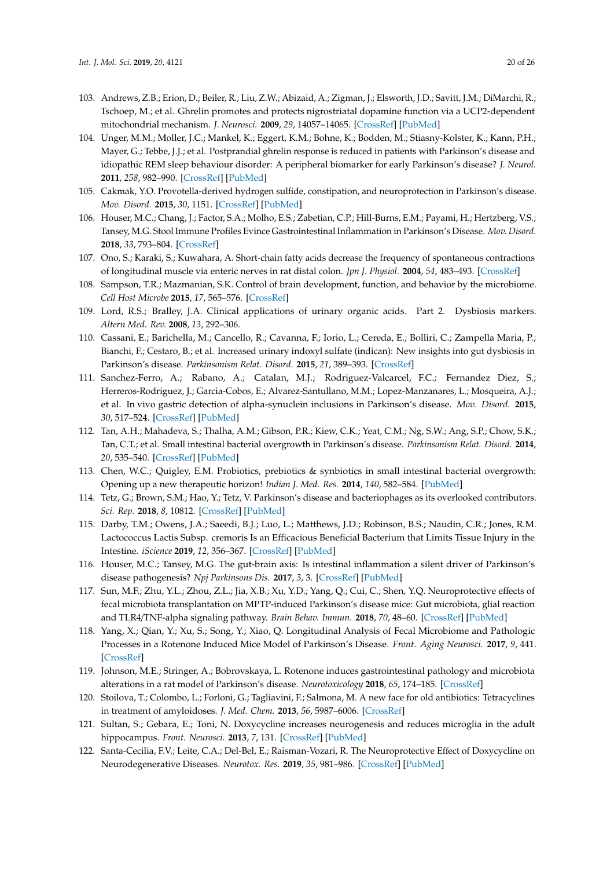- <span id="page-19-0"></span>103. Andrews, Z.B.; Erion, D.; Beiler, R.; Liu, Z.W.; Abizaid, A.; Zigman, J.; Elsworth, J.D.; Savitt, J.M.; DiMarchi, R.; Tschoep, M.; et al. Ghrelin promotes and protects nigrostriatal dopamine function via a UCP2-dependent mitochondrial mechanism. *J. Neurosci.* **2009**, *29*, 14057–14065. [\[CrossRef\]](http://dx.doi.org/10.1523/JNEUROSCI.3890-09.2009) [\[PubMed\]](http://www.ncbi.nlm.nih.gov/pubmed/19906954)
- <span id="page-19-1"></span>104. Unger, M.M.; Moller, J.C.; Mankel, K.; Eggert, K.M.; Bohne, K.; Bodden, M.; Stiasny-Kolster, K.; Kann, P.H.; Mayer, G.; Tebbe, J.J.; et al. Postprandial ghrelin response is reduced in patients with Parkinson's disease and idiopathic REM sleep behaviour disorder: A peripheral biomarker for early Parkinson's disease? *J. Neurol.* **2011**, *258*, 982–990. [\[CrossRef\]](http://dx.doi.org/10.1007/s00415-010-5864-1) [\[PubMed\]](http://www.ncbi.nlm.nih.gov/pubmed/21181542)
- <span id="page-19-2"></span>105. Cakmak, Y.O. Provotella-derived hydrogen sulfide, constipation, and neuroprotection in Parkinson's disease. *Mov. Disord.* **2015**, *30*, 1151. [\[CrossRef\]](http://dx.doi.org/10.1002/mds.26258) [\[PubMed\]](http://www.ncbi.nlm.nih.gov/pubmed/25970839)
- <span id="page-19-3"></span>106. Houser, M.C.; Chang, J.; Factor, S.A.; Molho, E.S.; Zabetian, C.P.; Hill-Burns, E.M.; Payami, H.; Hertzberg, V.S.; Tansey, M.G. Stool Immune Profiles Evince Gastrointestinal Inflammation in Parkinson's Disease. *Mov. Disord.* **2018**, *33*, 793–804. [\[CrossRef\]](http://dx.doi.org/10.1002/mds.27326)
- <span id="page-19-4"></span>107. Ono, S.; Karaki, S.; Kuwahara, A. Short-chain fatty acids decrease the frequency of spontaneous contractions of longitudinal muscle via enteric nerves in rat distal colon. *Jpn J. Physiol.* **2004**, *54*, 483–493. [\[CrossRef\]](http://dx.doi.org/10.2170/jjphysiol.54.483)
- <span id="page-19-5"></span>108. Sampson, T.R.; Mazmanian, S.K. Control of brain development, function, and behavior by the microbiome. *Cell Host Microbe* **2015**, *17*, 565–576. [\[CrossRef\]](http://dx.doi.org/10.1016/j.chom.2015.04.011)
- <span id="page-19-6"></span>109. Lord, R.S.; Bralley, J.A. Clinical applications of urinary organic acids. Part 2. Dysbiosis markers. *Altern Med. Rev.* **2008**, *13*, 292–306.
- <span id="page-19-7"></span>110. Cassani, E.; Barichella, M.; Cancello, R.; Cavanna, F.; Iorio, L.; Cereda, E.; Bolliri, C.; Zampella Maria, P.; Bianchi, F.; Cestaro, B.; et al. Increased urinary indoxyl sulfate (indican): New insights into gut dysbiosis in Parkinson's disease. *Parkinsonism Relat. Disord.* **2015**, *21*, 389–393. [\[CrossRef\]](http://dx.doi.org/10.1016/j.parkreldis.2015.02.004)
- <span id="page-19-8"></span>111. Sanchez-Ferro, A.; Rabano, A.; Catalan, M.J.; Rodriguez-Valcarcel, F.C.; Fernandez Diez, S.; Herreros-Rodriguez, J.; Garcia-Cobos, E.; Alvarez-Santullano, M.M.; Lopez-Manzanares, L.; Mosqueira, A.J.; et al. In vivo gastric detection of alpha-synuclein inclusions in Parkinson's disease. *Mov. Disord.* **2015**, *30*, 517–524. [\[CrossRef\]](http://dx.doi.org/10.1002/mds.25988) [\[PubMed\]](http://www.ncbi.nlm.nih.gov/pubmed/25113060)
- <span id="page-19-9"></span>112. Tan, A.H.; Mahadeva, S.; Thalha, A.M.; Gibson, P.R.; Kiew, C.K.; Yeat, C.M.; Ng, S.W.; Ang, S.P.; Chow, S.K.; Tan, C.T.; et al. Small intestinal bacterial overgrowth in Parkinson's disease. *Parkinsonism Relat. Disord.* **2014**, *20*, 535–540. [\[CrossRef\]](http://dx.doi.org/10.1016/j.parkreldis.2014.02.019) [\[PubMed\]](http://www.ncbi.nlm.nih.gov/pubmed/24637123)
- <span id="page-19-10"></span>113. Chen, W.C.; Quigley, E.M. Probiotics, prebiotics & synbiotics in small intestinal bacterial overgrowth: Opening up a new therapeutic horizon! *Indian J. Med. Res.* **2014**, *140*, 582–584. [\[PubMed\]](http://www.ncbi.nlm.nih.gov/pubmed/25579137)
- <span id="page-19-11"></span>114. Tetz, G.; Brown, S.M.; Hao, Y.; Tetz, V. Parkinson's disease and bacteriophages as its overlooked contributors. *Sci. Rep.* **2018**, *8*, 10812. [\[CrossRef\]](http://dx.doi.org/10.1038/s41598-018-29173-4) [\[PubMed\]](http://www.ncbi.nlm.nih.gov/pubmed/30018338)
- <span id="page-19-12"></span>115. Darby, T.M.; Owens, J.A.; Saeedi, B.J.; Luo, L.; Matthews, J.D.; Robinson, B.S.; Naudin, C.R.; Jones, R.M. Lactococcus Lactis Subsp. cremoris Is an Efficacious Beneficial Bacterium that Limits Tissue Injury in the Intestine. *iScience* **2019**, *12*, 356–367. [\[CrossRef\]](http://dx.doi.org/10.1016/j.isci.2019.01.030) [\[PubMed\]](http://www.ncbi.nlm.nih.gov/pubmed/30739017)
- <span id="page-19-13"></span>116. Houser, M.C.; Tansey, M.G. The gut-brain axis: Is intestinal inflammation a silent driver of Parkinson's disease pathogenesis? *Npj Parkinsons Dis.* **2017**, *3*, 3. [\[CrossRef\]](http://dx.doi.org/10.1038/s41531-016-0002-0) [\[PubMed\]](http://www.ncbi.nlm.nih.gov/pubmed/28649603)
- <span id="page-19-14"></span>117. Sun, M.F.; Zhu, Y.L.; Zhou, Z.L.; Jia, X.B.; Xu, Y.D.; Yang, Q.; Cui, C.; Shen, Y.Q. Neuroprotective effects of fecal microbiota transplantation on MPTP-induced Parkinson's disease mice: Gut microbiota, glial reaction and TLR4/TNF-alpha signaling pathway. *Brain Behav. Immun.* **2018**, *70*, 48–60. [\[CrossRef\]](http://dx.doi.org/10.1016/j.bbi.2018.02.005) [\[PubMed\]](http://www.ncbi.nlm.nih.gov/pubmed/29471030)
- <span id="page-19-15"></span>118. Yang, X.; Qian, Y.; Xu, S.; Song, Y.; Xiao, Q. Longitudinal Analysis of Fecal Microbiome and Pathologic Processes in a Rotenone Induced Mice Model of Parkinson's Disease. *Front. Aging Neurosci.* **2017**, *9*, 441. [\[CrossRef\]](http://dx.doi.org/10.3389/fnagi.2017.00441)
- <span id="page-19-16"></span>119. Johnson, M.E.; Stringer, A.; Bobrovskaya, L. Rotenone induces gastrointestinal pathology and microbiota alterations in a rat model of Parkinson's disease. *Neurotoxicology* **2018**, *65*, 174–185. [\[CrossRef\]](http://dx.doi.org/10.1016/j.neuro.2018.02.013)
- <span id="page-19-17"></span>120. Stoilova, T.; Colombo, L.; Forloni, G.; Tagliavini, F.; Salmona, M. A new face for old antibiotics: Tetracyclines in treatment of amyloidoses. *J. Med. Chem.* **2013**, *56*, 5987–6006. [\[CrossRef\]](http://dx.doi.org/10.1021/jm400161p)
- 121. Sultan, S.; Gebara, E.; Toni, N. Doxycycline increases neurogenesis and reduces microglia in the adult hippocampus. *Front. Neurosci.* **2013**, *7*, 131. [\[CrossRef\]](http://dx.doi.org/10.3389/fnins.2013.00131) [\[PubMed\]](http://www.ncbi.nlm.nih.gov/pubmed/23898238)
- <span id="page-19-18"></span>122. Santa-Cecilia, F.V.; Leite, C.A.; Del-Bel, E.; Raisman-Vozari, R. The Neuroprotective Effect of Doxycycline on Neurodegenerative Diseases. *Neurotox. Res.* **2019**, *35*, 981–986. [\[CrossRef\]](http://dx.doi.org/10.1007/s12640-019-00015-z) [\[PubMed\]](http://www.ncbi.nlm.nih.gov/pubmed/30798507)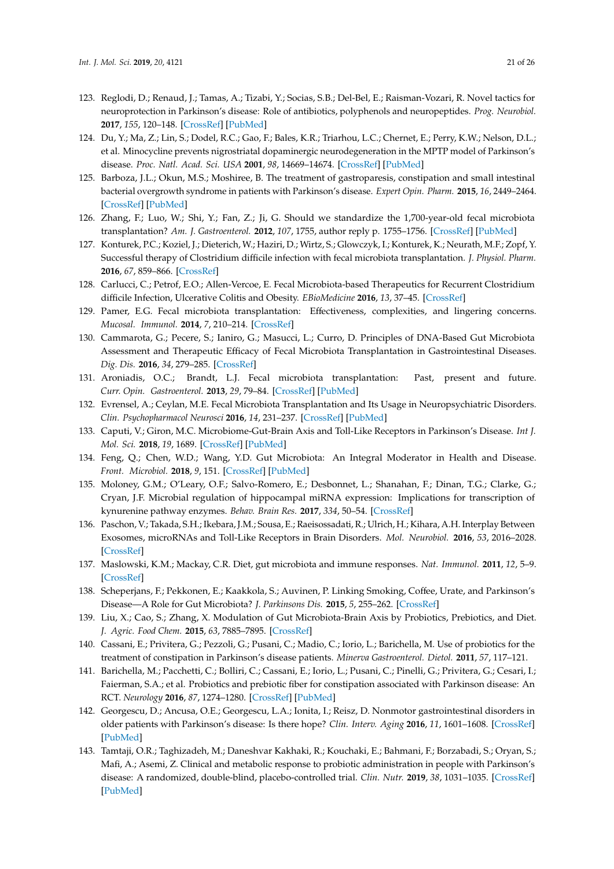- <span id="page-20-0"></span>123. Reglodi, D.; Renaud, J.; Tamas, A.; Tizabi, Y.; Socias, S.B.; Del-Bel, E.; Raisman-Vozari, R. Novel tactics for neuroprotection in Parkinson's disease: Role of antibiotics, polyphenols and neuropeptides. *Prog. Neurobiol.* **2017**, *155*, 120–148. [\[CrossRef\]](http://dx.doi.org/10.1016/j.pneurobio.2015.10.004) [\[PubMed\]](http://www.ncbi.nlm.nih.gov/pubmed/26542398)
- <span id="page-20-1"></span>124. Du, Y.; Ma, Z.; Lin, S.; Dodel, R.C.; Gao, F.; Bales, K.R.; Triarhou, L.C.; Chernet, E.; Perry, K.W.; Nelson, D.L.; et al. Minocycline prevents nigrostriatal dopaminergic neurodegeneration in the MPTP model of Parkinson's disease. *Proc. Natl. Acad. Sci. USA* **2001**, *98*, 14669–14674. [\[CrossRef\]](http://dx.doi.org/10.1073/pnas.251341998) [\[PubMed\]](http://www.ncbi.nlm.nih.gov/pubmed/11724929)
- <span id="page-20-2"></span>125. Barboza, J.L.; Okun, M.S.; Moshiree, B. The treatment of gastroparesis, constipation and small intestinal bacterial overgrowth syndrome in patients with Parkinson's disease. *Expert Opin. Pharm.* **2015**, *16*, 2449–2464. [\[CrossRef\]](http://dx.doi.org/10.1517/14656566.2015.1086747) [\[PubMed\]](http://www.ncbi.nlm.nih.gov/pubmed/26374094)
- <span id="page-20-3"></span>126. Zhang, F.; Luo, W.; Shi, Y.; Fan, Z.; Ji, G. Should we standardize the 1,700-year-old fecal microbiota transplantation? *Am. J. Gastroenterol.* **2012**, *107*, 1755, author reply p. 1755–1756. [\[CrossRef\]](http://dx.doi.org/10.1038/ajg.2012.251) [\[PubMed\]](http://www.ncbi.nlm.nih.gov/pubmed/23160295)
- <span id="page-20-4"></span>127. Konturek, P.C.; Koziel, J.; Dieterich, W.; Haziri, D.; Wirtz, S.; Glowczyk, I.; Konturek, K.; Neurath, M.F.; Zopf, Y. Successful therapy of Clostridium difficile infection with fecal microbiota transplantation. *J. Physiol. Pharm.* **2016**, *67*, 859–866. [\[CrossRef\]](http://dx.doi.org/10.1016/S0016-5085(17)31403-8)
- <span id="page-20-5"></span>128. Carlucci, C.; Petrof, E.O.; Allen-Vercoe, E. Fecal Microbiota-based Therapeutics for Recurrent Clostridium difficile Infection, Ulcerative Colitis and Obesity. *EBioMedicine* **2016**, *13*, 37–45. [\[CrossRef\]](http://dx.doi.org/10.1016/j.ebiom.2016.09.029)
- <span id="page-20-6"></span>129. Pamer, E.G. Fecal microbiota transplantation: Effectiveness, complexities, and lingering concerns. *Mucosal. Immunol.* **2014**, *7*, 210–214. [\[CrossRef\]](http://dx.doi.org/10.1038/mi.2013.117)
- <span id="page-20-7"></span>130. Cammarota, G.; Pecere, S.; Ianiro, G.; Masucci, L.; Curro, D. Principles of DNA-Based Gut Microbiota Assessment and Therapeutic Efficacy of Fecal Microbiota Transplantation in Gastrointestinal Diseases. *Dig. Dis.* **2016**, *34*, 279–285. [\[CrossRef\]](http://dx.doi.org/10.1159/000443362)
- <span id="page-20-17"></span><span id="page-20-8"></span>131. Aroniadis, O.C.; Brandt, L.J. Fecal microbiota transplantation: Past, present and future. *Curr. Opin. Gastroenterol.* **2013**, *29*, 79–84. [\[CrossRef\]](http://dx.doi.org/10.1097/MOG.0b013e32835a4b3e) [\[PubMed\]](http://www.ncbi.nlm.nih.gov/pubmed/23041678)
- <span id="page-20-18"></span><span id="page-20-9"></span>132. Evrensel, A.; Ceylan, M.E. Fecal Microbiota Transplantation and Its Usage in Neuropsychiatric Disorders. *Clin. Psychopharmacol Neurosci* **2016**, *14*, 231–237. [\[CrossRef\]](http://dx.doi.org/10.9758/cpn.2016.14.3.231) [\[PubMed\]](http://www.ncbi.nlm.nih.gov/pubmed/27489376)
- <span id="page-20-10"></span>133. Caputi, V.; Giron, M.C. Microbiome-Gut-Brain Axis and Toll-Like Receptors in Parkinson's Disease. *Int J. Mol. Sci.* **2018**, *19*, 1689. [\[CrossRef\]](http://dx.doi.org/10.3390/ijms19061689) [\[PubMed\]](http://www.ncbi.nlm.nih.gov/pubmed/29882798)
- <span id="page-20-19"></span><span id="page-20-11"></span>134. Feng, Q.; Chen, W.D.; Wang, Y.D. Gut Microbiota: An Integral Moderator in Health and Disease. *Front. Microbiol.* **2018**, *9*, 151. [\[CrossRef\]](http://dx.doi.org/10.3389/fmicb.2018.00151) [\[PubMed\]](http://www.ncbi.nlm.nih.gov/pubmed/29515527)
- <span id="page-20-20"></span><span id="page-20-12"></span>135. Moloney, G.M.; O'Leary, O.F.; Salvo-Romero, E.; Desbonnet, L.; Shanahan, F.; Dinan, T.G.; Clarke, G.; Cryan, J.F. Microbial regulation of hippocampal miRNA expression: Implications for transcription of kynurenine pathway enzymes. *Behav. Brain Res.* **2017**, *334*, 50–54. [\[CrossRef\]](http://dx.doi.org/10.1016/j.bbr.2017.07.026)
- <span id="page-20-13"></span>136. Paschon, V.; Takada, S.H.; Ikebara, J.M.; Sousa, E.; Raeisossadati, R.; Ulrich, H.; Kihara, A.H. Interplay Between Exosomes, microRNAs and Toll-Like Receptors in Brain Disorders. *Mol. Neurobiol.* **2016**, *53*, 2016–2028. [\[CrossRef\]](http://dx.doi.org/10.1007/s12035-015-9142-1)
- <span id="page-20-14"></span>137. Maslowski, K.M.; Mackay, C.R. Diet, gut microbiota and immune responses. *Nat. Immunol.* **2011**, *12*, 5–9. [\[CrossRef\]](http://dx.doi.org/10.1038/ni0111-5)
- <span id="page-20-15"></span>138. Scheperjans, F.; Pekkonen, E.; Kaakkola, S.; Auvinen, P. Linking Smoking, Coffee, Urate, and Parkinson's Disease—A Role for Gut Microbiota? *J. Parkinsons Dis.* **2015**, *5*, 255–262. [\[CrossRef\]](http://dx.doi.org/10.3233/JPD-150557)
- <span id="page-20-16"></span>139. Liu, X.; Cao, S.; Zhang, X. Modulation of Gut Microbiota-Brain Axis by Probiotics, Prebiotics, and Diet. *J. Agric. Food Chem.* **2015**, *63*, 7885–7895. [\[CrossRef\]](http://dx.doi.org/10.1021/acs.jafc.5b02404)
- <span id="page-20-21"></span>140. Cassani, E.; Privitera, G.; Pezzoli, G.; Pusani, C.; Madio, C.; Iorio, L.; Barichella, M. Use of probiotics for the treatment of constipation in Parkinson's disease patients. *Minerva Gastroenterol. Dietol.* **2011**, *57*, 117–121.
- <span id="page-20-24"></span>141. Barichella, M.; Pacchetti, C.; Bolliri, C.; Cassani, E.; Iorio, L.; Pusani, C.; Pinelli, G.; Privitera, G.; Cesari, I.; Faierman, S.A.; et al. Probiotics and prebiotic fiber for constipation associated with Parkinson disease: An RCT. *Neurology* **2016**, *87*, 1274–1280. [\[CrossRef\]](http://dx.doi.org/10.1212/WNL.0000000000003127) [\[PubMed\]](http://www.ncbi.nlm.nih.gov/pubmed/27543643)
- <span id="page-20-22"></span>142. Georgescu, D.; Ancusa, O.E.; Georgescu, L.A.; Ionita, I.; Reisz, D. Nonmotor gastrointestinal disorders in older patients with Parkinson's disease: Is there hope? *Clin. Interv. Aging* **2016**, *11*, 1601–1608. [\[CrossRef\]](http://dx.doi.org/10.2147/CIA.S106284) [\[PubMed\]](http://www.ncbi.nlm.nih.gov/pubmed/27956826)
- <span id="page-20-23"></span>143. Tamtaji, O.R.; Taghizadeh, M.; Daneshvar Kakhaki, R.; Kouchaki, E.; Bahmani, F.; Borzabadi, S.; Oryan, S.; Mafi, A.; Asemi, Z. Clinical and metabolic response to probiotic administration in people with Parkinson's disease: A randomized, double-blind, placebo-controlled trial. *Clin. Nutr.* **2019**, *38*, 1031–1035. [\[CrossRef\]](http://dx.doi.org/10.1016/j.clnu.2018.05.018) [\[PubMed\]](http://www.ncbi.nlm.nih.gov/pubmed/29891223)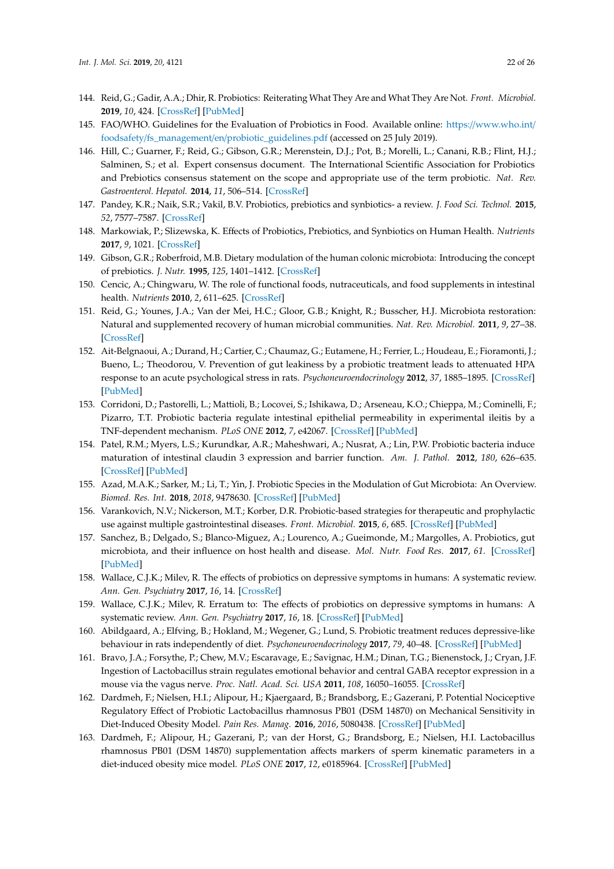- <span id="page-21-0"></span>144. Reid, G.; Gadir, A.A.; Dhir, R. Probiotics: Reiterating What They Are and What They Are Not. *Front. Microbiol.* **2019**, *10*, 424. [\[CrossRef\]](http://dx.doi.org/10.3389/fmicb.2019.00424) [\[PubMed\]](http://www.ncbi.nlm.nih.gov/pubmed/30930863)
- <span id="page-21-1"></span>145. FAO/WHO. Guidelines for the Evaluation of Probiotics in Food. Available online: https://[www.who.int](https://www.who.int/foodsafety/fs_management/en/probiotic_guidelines.pdf)/ foodsafety/fs\_management/en/[probiotic\\_guidelines.pdf](https://www.who.int/foodsafety/fs_management/en/probiotic_guidelines.pdf) (accessed on 25 July 2019).
- <span id="page-21-2"></span>146. Hill, C.; Guarner, F.; Reid, G.; Gibson, G.R.; Merenstein, D.J.; Pot, B.; Morelli, L.; Canani, R.B.; Flint, H.J.; Salminen, S.; et al. Expert consensus document. The International Scientific Association for Probiotics and Prebiotics consensus statement on the scope and appropriate use of the term probiotic. *Nat. Rev. Gastroenterol. Hepatol.* **2014**, *11*, 506–514. [\[CrossRef\]](http://dx.doi.org/10.1038/nrgastro.2014.66)
- <span id="page-21-3"></span>147. Pandey, K.R.; Naik, S.R.; Vakil, B.V. Probiotics, prebiotics and synbiotics- a review. *J. Food Sci. Technol.* **2015**, *52*, 7577–7587. [\[CrossRef\]](http://dx.doi.org/10.1007/s13197-015-1921-1)
- <span id="page-21-4"></span>148. Markowiak, P.; Slizewska, K. Effects of Probiotics, Prebiotics, and Synbiotics on Human Health. *Nutrients* **2017**, *9*, 1021. [\[CrossRef\]](http://dx.doi.org/10.3390/nu9091021)
- <span id="page-21-5"></span>149. Gibson, G.R.; Roberfroid, M.B. Dietary modulation of the human colonic microbiota: Introducing the concept of prebiotics. *J. Nutr.* **1995**, *125*, 1401–1412. [\[CrossRef\]](http://dx.doi.org/10.1093/jn/125.6.1401)
- <span id="page-21-6"></span>150. Cencic, A.; Chingwaru, W. The role of functional foods, nutraceuticals, and food supplements in intestinal health. *Nutrients* **2010**, *2*, 611–625. [\[CrossRef\]](http://dx.doi.org/10.3390/nu2060611)
- <span id="page-21-7"></span>151. Reid, G.; Younes, J.A.; Van der Mei, H.C.; Gloor, G.B.; Knight, R.; Busscher, H.J. Microbiota restoration: Natural and supplemented recovery of human microbial communities. *Nat. Rev. Microbiol.* **2011**, *9*, 27–38. [\[CrossRef\]](http://dx.doi.org/10.1038/nrmicro2473)
- <span id="page-21-8"></span>152. Ait-Belgnaoui, A.; Durand, H.; Cartier, C.; Chaumaz, G.; Eutamene, H.; Ferrier, L.; Houdeau, E.; Fioramonti, J.; Bueno, L.; Theodorou, V. Prevention of gut leakiness by a probiotic treatment leads to attenuated HPA response to an acute psychological stress in rats. *Psychoneuroendocrinology* **2012**, *37*, 1885–1895. [\[CrossRef\]](http://dx.doi.org/10.1016/j.psyneuen.2012.03.024) [\[PubMed\]](http://www.ncbi.nlm.nih.gov/pubmed/22541937)
- 153. Corridoni, D.; Pastorelli, L.; Mattioli, B.; Locovei, S.; Ishikawa, D.; Arseneau, K.O.; Chieppa, M.; Cominelli, F.; Pizarro, T.T. Probiotic bacteria regulate intestinal epithelial permeability in experimental ileitis by a TNF-dependent mechanism. *PLoS ONE* **2012**, *7*, e42067. [\[CrossRef\]](http://dx.doi.org/10.1371/journal.pone.0042067) [\[PubMed\]](http://www.ncbi.nlm.nih.gov/pubmed/22848704)
- <span id="page-21-9"></span>154. Patel, R.M.; Myers, L.S.; Kurundkar, A.R.; Maheshwari, A.; Nusrat, A.; Lin, P.W. Probiotic bacteria induce maturation of intestinal claudin 3 expression and barrier function. *Am. J. Pathol.* **2012**, *180*, 626–635. [\[CrossRef\]](http://dx.doi.org/10.1016/j.ajpath.2011.10.025) [\[PubMed\]](http://www.ncbi.nlm.nih.gov/pubmed/22155109)
- <span id="page-21-10"></span>155. Azad, M.A.K.; Sarker, M.; Li, T.; Yin, J. Probiotic Species in the Modulation of Gut Microbiota: An Overview. *Biomed. Res. Int.* **2018**, *2018*, 9478630. [\[CrossRef\]](http://dx.doi.org/10.1155/2018/9478630) [\[PubMed\]](http://www.ncbi.nlm.nih.gov/pubmed/29854813)
- 156. Varankovich, N.V.; Nickerson, M.T.; Korber, D.R. Probiotic-based strategies for therapeutic and prophylactic use against multiple gastrointestinal diseases. *Front. Microbiol.* **2015**, *6*, 685. [\[CrossRef\]](http://dx.doi.org/10.3389/fmicb.2015.00685) [\[PubMed\]](http://www.ncbi.nlm.nih.gov/pubmed/26236287)
- <span id="page-21-11"></span>157. Sanchez, B.; Delgado, S.; Blanco-Miguez, A.; Lourenco, A.; Gueimonde, M.; Margolles, A. Probiotics, gut microbiota, and their influence on host health and disease. *Mol. Nutr. Food Res.* **2017**, *61*. [\[CrossRef\]](http://dx.doi.org/10.1002/mnfr.201600240) [\[PubMed\]](http://www.ncbi.nlm.nih.gov/pubmed/27500859)
- <span id="page-21-12"></span>158. Wallace, C.J.K.; Milev, R. The effects of probiotics on depressive symptoms in humans: A systematic review. *Ann. Gen. Psychiatry* **2017**, *16*, 14. [\[CrossRef\]](http://dx.doi.org/10.1186/s12991-017-0138-2)
- <span id="page-21-13"></span>159. Wallace, C.J.K.; Milev, R. Erratum to: The effects of probiotics on depressive symptoms in humans: A systematic review. *Ann. Gen. Psychiatry* **2017**, *16*, 18. [\[CrossRef\]](http://dx.doi.org/10.1186/s12991-017-0141-7) [\[PubMed\]](http://www.ncbi.nlm.nih.gov/pubmed/28286538)
- <span id="page-21-14"></span>160. Abildgaard, A.; Elfving, B.; Hokland, M.; Wegener, G.; Lund, S. Probiotic treatment reduces depressive-like behaviour in rats independently of diet. *Psychoneuroendocrinology* **2017**, *79*, 40–48. [\[CrossRef\]](http://dx.doi.org/10.1016/j.psyneuen.2017.02.014) [\[PubMed\]](http://www.ncbi.nlm.nih.gov/pubmed/28259042)
- <span id="page-21-15"></span>161. Bravo, J.A.; Forsythe, P.; Chew, M.V.; Escaravage, E.; Savignac, H.M.; Dinan, T.G.; Bienenstock, J.; Cryan, J.F. Ingestion of Lactobacillus strain regulates emotional behavior and central GABA receptor expression in a mouse via the vagus nerve. *Proc. Natl. Acad. Sci. USA* **2011**, *108*, 16050–16055. [\[CrossRef\]](http://dx.doi.org/10.1073/pnas.1102999108)
- <span id="page-21-16"></span>162. Dardmeh, F.; Nielsen, H.I.; Alipour, H.; Kjaergaard, B.; Brandsborg, E.; Gazerani, P. Potential Nociceptive Regulatory Effect of Probiotic Lactobacillus rhamnosus PB01 (DSM 14870) on Mechanical Sensitivity in Diet-Induced Obesity Model. *Pain Res. Manag.* **2016**, *2016*, 5080438. [\[CrossRef\]](http://dx.doi.org/10.1155/2016/5080438) [\[PubMed\]](http://www.ncbi.nlm.nih.gov/pubmed/27647980)
- <span id="page-21-17"></span>163. Dardmeh, F.; Alipour, H.; Gazerani, P.; van der Horst, G.; Brandsborg, E.; Nielsen, H.I. Lactobacillus rhamnosus PB01 (DSM 14870) supplementation affects markers of sperm kinematic parameters in a diet-induced obesity mice model. *PLoS ONE* **2017**, *12*, e0185964. [\[CrossRef\]](http://dx.doi.org/10.1371/journal.pone.0185964) [\[PubMed\]](http://www.ncbi.nlm.nih.gov/pubmed/29016685)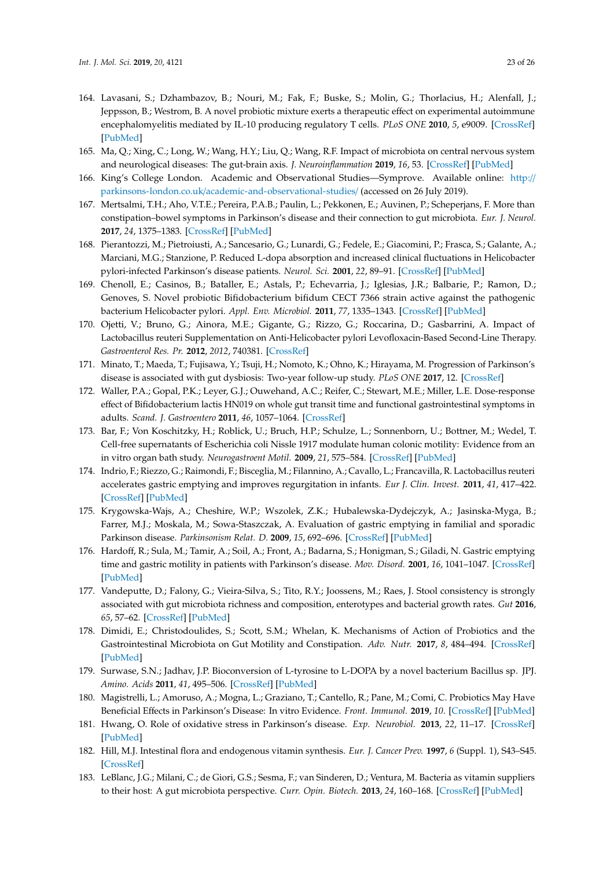- <span id="page-22-0"></span>164. Lavasani, S.; Dzhambazov, B.; Nouri, M.; Fak, F.; Buske, S.; Molin, G.; Thorlacius, H.; Alenfall, J.; Jeppsson, B.; Westrom, B. A novel probiotic mixture exerts a therapeutic effect on experimental autoimmune encephalomyelitis mediated by IL-10 producing regulatory T cells. *PLoS ONE* **2010**, *5*, e9009. [\[CrossRef\]](http://dx.doi.org/10.1371/journal.pone.0009009) [\[PubMed\]](http://www.ncbi.nlm.nih.gov/pubmed/20126401)
- <span id="page-22-1"></span>165. Ma, Q.; Xing, C.; Long, W.; Wang, H.Y.; Liu, Q.; Wang, R.F. Impact of microbiota on central nervous system and neurological diseases: The gut-brain axis. *J. Neuroinflammation* **2019**, *16*, 53. [\[CrossRef\]](http://dx.doi.org/10.1186/s12974-019-1434-3) [\[PubMed\]](http://www.ncbi.nlm.nih.gov/pubmed/30823925)
- <span id="page-22-2"></span>166. King's College London. Academic and Observational Studies—Symprove. Available online: [http:](http://parkinsons-london.co.uk/academic-and-observational-studies/)// parkinsons-london.co.uk/[academic-and-observational-studies](http://parkinsons-london.co.uk/academic-and-observational-studies/)/ (accessed on 26 July 2019).
- <span id="page-22-3"></span>167. Mertsalmi, T.H.; Aho, V.T.E.; Pereira, P.A.B.; Paulin, L.; Pekkonen, E.; Auvinen, P.; Scheperjans, F. More than constipation–bowel symptoms in Parkinson's disease and their connection to gut microbiota. *Eur. J. Neurol.* **2017**, *24*, 1375–1383. [\[CrossRef\]](http://dx.doi.org/10.1111/ene.13398) [\[PubMed\]](http://www.ncbi.nlm.nih.gov/pubmed/28891262)
- <span id="page-22-4"></span>168. Pierantozzi, M.; Pietroiusti, A.; Sancesario, G.; Lunardi, G.; Fedele, E.; Giacomini, P.; Frasca, S.; Galante, A.; Marciani, M.G.; Stanzione, P. Reduced L-dopa absorption and increased clinical fluctuations in Helicobacter pylori-infected Parkinson's disease patients. *Neurol. Sci.* **2001**, *22*, 89–91. [\[CrossRef\]](http://dx.doi.org/10.1007/s100720170061) [\[PubMed\]](http://www.ncbi.nlm.nih.gov/pubmed/11487216)
- <span id="page-22-5"></span>169. Chenoll, E.; Casinos, B.; Bataller, E.; Astals, P.; Echevarria, J.; Iglesias, J.R.; Balbarie, P.; Ramon, D.; Genoves, S. Novel probiotic Bifidobacterium bifidum CECT 7366 strain active against the pathogenic bacterium Helicobacter pylori. *Appl. Env. Microbiol.* **2011**, *77*, 1335–1343. [\[CrossRef\]](http://dx.doi.org/10.1128/AEM.01820-10) [\[PubMed\]](http://www.ncbi.nlm.nih.gov/pubmed/21169430)
- <span id="page-22-6"></span>170. Ojetti, V.; Bruno, G.; Ainora, M.E.; Gigante, G.; Rizzo, G.; Roccarina, D.; Gasbarrini, A. Impact of Lactobacillus reuteri Supplementation on Anti-Helicobacter pylori Levofloxacin-Based Second-Line Therapy. *Gastroenterol Res. Pr.* **2012**, *2012*, 740381. [\[CrossRef\]](http://dx.doi.org/10.1155/2012/740381)
- <span id="page-22-7"></span>171. Minato, T.; Maeda, T.; Fujisawa, Y.; Tsuji, H.; Nomoto, K.; Ohno, K.; Hirayama, M. Progression of Parkinson's disease is associated with gut dysbiosis: Two-year follow-up study. *PLoS ONE* **2017**, 12. [\[CrossRef\]](http://dx.doi.org/10.1371/journal.pone.0187307)
- <span id="page-22-8"></span>172. Waller, P.A.; Gopal, P.K.; Leyer, G.J.; Ouwehand, A.C.; Reifer, C.; Stewart, M.E.; Miller, L.E. Dose-response effect of Bifidobacterium lactis HN019 on whole gut transit time and functional gastrointestinal symptoms in adults. *Scand. J. Gastroentero* **2011**, *46*, 1057–1064. [\[CrossRef\]](http://dx.doi.org/10.3109/00365521.2011.584895)
- <span id="page-22-9"></span>173. Bar, F.; Von Koschitzky, H.; Roblick, U.; Bruch, H.P.; Schulze, L.; Sonnenborn, U.; Bottner, M.; Wedel, T. Cell-free supernatants of Escherichia coli Nissle 1917 modulate human colonic motility: Evidence from an in vitro organ bath study. *Neurogastroent Motil.* **2009**, *21*, 575–584. [\[CrossRef\]](http://dx.doi.org/10.1111/j.1365-2982.2008.01258.x) [\[PubMed\]](http://www.ncbi.nlm.nih.gov/pubmed/19220758)
- <span id="page-22-10"></span>174. Indrio, F.; Riezzo, G.; Raimondi, F.; Bisceglia, M.; Filannino, A.; Cavallo, L.; Francavilla, R. Lactobacillus reuteri accelerates gastric emptying and improves regurgitation in infants. *Eur J. Clin. Invest.* **2011**, *41*, 417–422. [\[CrossRef\]](http://dx.doi.org/10.1111/j.1365-2362.2010.02425.x) [\[PubMed\]](http://www.ncbi.nlm.nih.gov/pubmed/21114493)
- <span id="page-22-11"></span>175. Krygowska-Wajs, A.; Cheshire, W.P.; Wszolek, Z.K.; Hubalewska-Dydejczyk, A.; Jasinska-Myga, B.; Farrer, M.J.; Moskala, M.; Sowa-Staszczak, A. Evaluation of gastric emptying in familial and sporadic Parkinson disease. *Parkinsonism Relat. D.* **2009**, *15*, 692–696. [\[CrossRef\]](http://dx.doi.org/10.1016/j.parkreldis.2009.04.003) [\[PubMed\]](http://www.ncbi.nlm.nih.gov/pubmed/19451015)
- <span id="page-22-12"></span>176. Hardoff, R.; Sula, M.; Tamir, A.; Soil, A.; Front, A.; Badarna, S.; Honigman, S.; Giladi, N. Gastric emptying time and gastric motility in patients with Parkinson's disease. *Mov. Disord.* **2001**, *16*, 1041–1047. [\[CrossRef\]](http://dx.doi.org/10.1002/mds.1203) [\[PubMed\]](http://www.ncbi.nlm.nih.gov/pubmed/11748735)
- <span id="page-22-13"></span>177. Vandeputte, D.; Falony, G.; Vieira-Silva, S.; Tito, R.Y.; Joossens, M.; Raes, J. Stool consistency is strongly associated with gut microbiota richness and composition, enterotypes and bacterial growth rates. *Gut* **2016**, *65*, 57–62. [\[CrossRef\]](http://dx.doi.org/10.1136/gutjnl-2015-309618) [\[PubMed\]](http://www.ncbi.nlm.nih.gov/pubmed/26069274)
- <span id="page-22-14"></span>178. Dimidi, E.; Christodoulides, S.; Scott, S.M.; Whelan, K. Mechanisms of Action of Probiotics and the Gastrointestinal Microbiota on Gut Motility and Constipation. *Adv. Nutr.* **2017**, *8*, 484–494. [\[CrossRef\]](http://dx.doi.org/10.3945/an.116.014407) [\[PubMed\]](http://www.ncbi.nlm.nih.gov/pubmed/28507013)
- <span id="page-22-15"></span>179. Surwase, S.N.; Jadhav, J.P. Bioconversion of L-tyrosine to L-DOPA by a novel bacterium Bacillus sp. JPJ. *Amino. Acids* **2011**, *41*, 495–506. [\[CrossRef\]](http://dx.doi.org/10.1007/s00726-010-0768-z) [\[PubMed\]](http://www.ncbi.nlm.nih.gov/pubmed/20963458)
- <span id="page-22-16"></span>180. Magistrelli, L.; Amoruso, A.; Mogna, L.; Graziano, T.; Cantello, R.; Pane, M.; Comi, C. Probiotics May Have Beneficial Effects in Parkinson's Disease: In vitro Evidence. *Front. Immunol.* **2019**, *10*. [\[CrossRef\]](http://dx.doi.org/10.3389/fimmu.2019.00969) [\[PubMed\]](http://www.ncbi.nlm.nih.gov/pubmed/31134068)
- <span id="page-22-17"></span>181. Hwang, O. Role of oxidative stress in Parkinson's disease. *Exp. Neurobiol.* **2013**, *22*, 11–17. [\[CrossRef\]](http://dx.doi.org/10.5607/en.2013.22.1.11) [\[PubMed\]](http://www.ncbi.nlm.nih.gov/pubmed/23585717)
- <span id="page-22-18"></span>182. Hill, M.J. Intestinal flora and endogenous vitamin synthesis. *Eur. J. Cancer Prev.* **1997**, *6* (Suppl. 1), S43–S45. [\[CrossRef\]](http://dx.doi.org/10.1097/00008469-199703001-00009)
- <span id="page-22-19"></span>183. LeBlanc, J.G.; Milani, C.; de Giori, G.S.; Sesma, F.; van Sinderen, D.; Ventura, M. Bacteria as vitamin suppliers to their host: A gut microbiota perspective. *Curr. Opin. Biotech.* **2013**, *24*, 160–168. [\[CrossRef\]](http://dx.doi.org/10.1016/j.copbio.2012.08.005) [\[PubMed\]](http://www.ncbi.nlm.nih.gov/pubmed/22940212)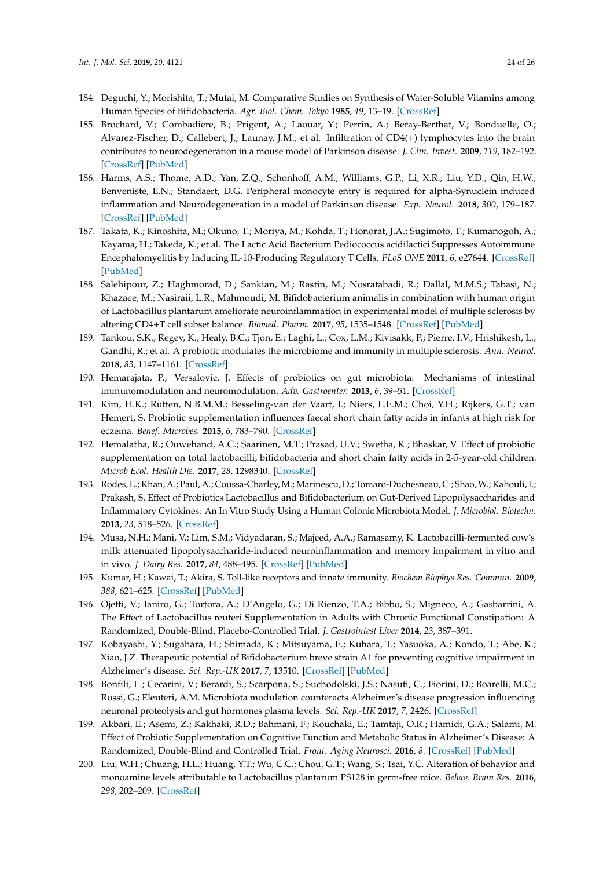- <span id="page-23-0"></span>184. Deguchi, Y.; Morishita, T.; Mutai, M. Comparative Studies on Synthesis of Water-Soluble Vitamins among Human Species of Bifidobacteria. *Agr. Biol. Chem. Tokyo* **1985**, *49*, 13–19. [\[CrossRef\]](http://dx.doi.org/10.1080/00021369.1985.10866683)
- <span id="page-23-1"></span>185. Brochard, V.; Combadiere, B.; Prigent, A.; Laouar, Y.; Perrin, A.; Beray-Berthat, V.; Bonduelle, O.; Alvarez-Fischer, D.; Callebert, J.; Launay, J.M.; et al. Infiltration of CD4(+) lymphocytes into the brain contributes to neurodegeneration in a mouse model of Parkinson disease. *J. Clin. Invest.* **2009**, *119*, 182–192. [\[CrossRef\]](http://dx.doi.org/10.1172/JCI36470) [\[PubMed\]](http://www.ncbi.nlm.nih.gov/pubmed/19104149)
- <span id="page-23-2"></span>186. Harms, A.S.; Thome, A.D.; Yan, Z.Q.; Schonhoff, A.M.; Williams, G.P.; Li, X.R.; Liu, Y.D.; Qin, H.W.; Benveniste, E.N.; Standaert, D.G. Peripheral monocyte entry is required for alpha-Synuclein induced inflammation and Neurodegeneration in a model of Parkinson disease. *Exp. Neurol.* **2018**, *300*, 179–187. [\[CrossRef\]](http://dx.doi.org/10.1016/j.expneurol.2017.11.010) [\[PubMed\]](http://www.ncbi.nlm.nih.gov/pubmed/29155051)
- <span id="page-23-3"></span>187. Takata, K.; Kinoshita, M.; Okuno, T.; Moriya, M.; Kohda, T.; Honorat, J.A.; Sugimoto, T.; Kumanogoh, A.; Kayama, H.; Takeda, K.; et al. The Lactic Acid Bacterium Pediococcus acidilactici Suppresses Autoimmune Encephalomyelitis by Inducing IL-10-Producing Regulatory T Cells. *PLoS ONE* **2011**, *6*, e27644. [\[CrossRef\]](http://dx.doi.org/10.1371/journal.pone.0027644) [\[PubMed\]](http://www.ncbi.nlm.nih.gov/pubmed/22110705)
- <span id="page-23-4"></span>188. Salehipour, Z.; Haghmorad, D.; Sankian, M.; Rastin, M.; Nosratabadi, R.; Dallal, M.M.S.; Tabasi, N.; Khazaee, M.; Nasiraii, L.R.; Mahmoudi, M. Bifidobacterium animalis in combination with human origin of Lactobacillus plantarum ameliorate neuroinflammation in experimental model of multiple sclerosis by altering CD4+T cell subset balance. *Biomed. Pharm.* **2017**, *95*, 1535–1548. [\[CrossRef\]](http://dx.doi.org/10.1016/j.biopha.2017.08.117) [\[PubMed\]](http://www.ncbi.nlm.nih.gov/pubmed/28946394)
- <span id="page-23-5"></span>189. Tankou, S.K.; Regev, K.; Healy, B.C.; Tjon, E.; Laghi, L.; Cox, L.M.; Kivisakk, P.; Pierre, I.V.; Hrishikesh, L.; Gandhi, R.; et al. A probiotic modulates the microbiome and immunity in multiple sclerosis. *Ann. Neurol.* **2018**, *83*, 1147–1161. [\[CrossRef\]](http://dx.doi.org/10.1002/ana.25244)
- <span id="page-23-6"></span>190. Hemarajata, P.; Versalovic, J. Effects of probiotics on gut microbiota: Mechanisms of intestinal immunomodulation and neuromodulation. *Adv. Gastroenter.* **2013**, *6*, 39–51. [\[CrossRef\]](http://dx.doi.org/10.1177/1756283X12459294)
- <span id="page-23-7"></span>191. Kim, H.K.; Rutten, N.B.M.M.; Besseling-van der Vaart, I.; Niers, L.E.M.; Choi, Y.H.; Rijkers, G.T.; van Hemert, S. Probiotic supplementation influences faecal short chain fatty acids in infants at high risk for eczema. *Benef. Microbes.* **2015**, *6*, 783–790. [\[CrossRef\]](http://dx.doi.org/10.3920/BM2015.0056)
- <span id="page-23-8"></span>192. Hemalatha, R.; Ouwehand, A.C.; Saarinen, M.T.; Prasad, U.V.; Swetha, K.; Bhaskar, V. Effect of probiotic supplementation on total lactobacilli, bifidobacteria and short chain fatty acids in 2-5-year-old children. *Microb Ecol. Health Dis.* **2017**, *28*, 1298340. [\[CrossRef\]](http://dx.doi.org/10.1080/16512235.2017.1298340)
- <span id="page-23-9"></span>193. Rodes, L.; Khan, A.; Paul, A.; Coussa-Charley,M.; Marinescu, D.; Tomaro-Duchesneau, C.; Shao,W.; Kahouli, I.; Prakash, S. Effect of Probiotics Lactobacillus and Bifidobacterium on Gut-Derived Lipopolysaccharides and Inflammatory Cytokines: An In Vitro Study Using a Human Colonic Microbiota Model. *J. Microbiol. Biotechn.* **2013**, *23*, 518–526. [\[CrossRef\]](http://dx.doi.org/10.4014/jmb.1205.05018)
- <span id="page-23-10"></span>194. Musa, N.H.; Mani, V.; Lim, S.M.; Vidyadaran, S.; Majeed, A.A.; Ramasamy, K. Lactobacilli-fermented cow's milk attenuated lipopolysaccharide-induced neuroinflammation and memory impairment in vitro and in vivo. *J. Dairy Res.* **2017**, *84*, 488–495. [\[CrossRef\]](http://dx.doi.org/10.1017/S0022029917000620) [\[PubMed\]](http://www.ncbi.nlm.nih.gov/pubmed/29154736)
- <span id="page-23-11"></span>195. Kumar, H.; Kawai, T.; Akira, S. Toll-like receptors and innate immunity. *Biochem Biophys Res. Commun.* **2009**, *388*, 621–625. [\[CrossRef\]](http://dx.doi.org/10.1016/j.bbrc.2009.08.062) [\[PubMed\]](http://www.ncbi.nlm.nih.gov/pubmed/19686699)
- <span id="page-23-12"></span>196. Ojetti, V.; Ianiro, G.; Tortora, A.; D'Angelo, G.; Di Rienzo, T.A.; Bibbo, S.; Migneco, A.; Gasbarrini, A. The Effect of Lactobacillus reuteri Supplementation in Adults with Chronic Functional Constipation: A Randomized, Double-Blind, Placebo-Controlled Trial. *J. Gastrointest Liver* **2014**, *23*, 387–391.
- <span id="page-23-13"></span>197. Kobayashi, Y.; Sugahara, H.; Shimada, K.; Mitsuyama, E.; Kuhara, T.; Yasuoka, A.; Kondo, T.; Abe, K.; Xiao, J.Z. Therapeutic potential of Bifidobacterium breve strain A1 for preventing cognitive impairment in Alzheimer's disease. *Sci. Rep.-UK* **2017**, *7*, 13510. [\[CrossRef\]](http://dx.doi.org/10.1038/s41598-017-13368-2) [\[PubMed\]](http://www.ncbi.nlm.nih.gov/pubmed/29044140)
- <span id="page-23-14"></span>198. Bonfili, L.; Cecarini, V.; Berardi, S.; Scarpona, S.; Suchodolski, J.S.; Nasuti, C.; Fiorini, D.; Boarelli, M.C.; Rossi, G.; Eleuteri, A.M. Microbiota modulation counteracts Alzheimer's disease progression influencing neuronal proteolysis and gut hormones plasma levels. *Sci. Rep.-UK* **2017**, *7*, 2426. [\[CrossRef\]](http://dx.doi.org/10.1038/s41598-017-02587-2)
- <span id="page-23-15"></span>199. Akbari, E.; Asemi, Z.; Kakhaki, R.D.; Bahmani, F.; Kouchaki, E.; Tamtaji, O.R.; Hamidi, G.A.; Salami, M. Effect of Probiotic Supplementation on Cognitive Function and Metabolic Status in Alzheimer's Disease: A Randomized, Double-Blind and Controlled Trial. *Front. Aging Neurosci.* **2016**, *8*. [\[CrossRef\]](http://dx.doi.org/10.3389/fnagi.2016.00256) [\[PubMed\]](http://www.ncbi.nlm.nih.gov/pubmed/27891089)
- <span id="page-23-16"></span>200. Liu, W.H.; Chuang, H.L.; Huang, Y.T.; Wu, C.C.; Chou, G.T.; Wang, S.; Tsai, Y.C. Alteration of behavior and monoamine levels attributable to Lactobacillus plantarum PS128 in germ-free mice. *Behav. Brain Res.* **2016**, *298*, 202–209. [\[CrossRef\]](http://dx.doi.org/10.1016/j.bbr.2015.10.046)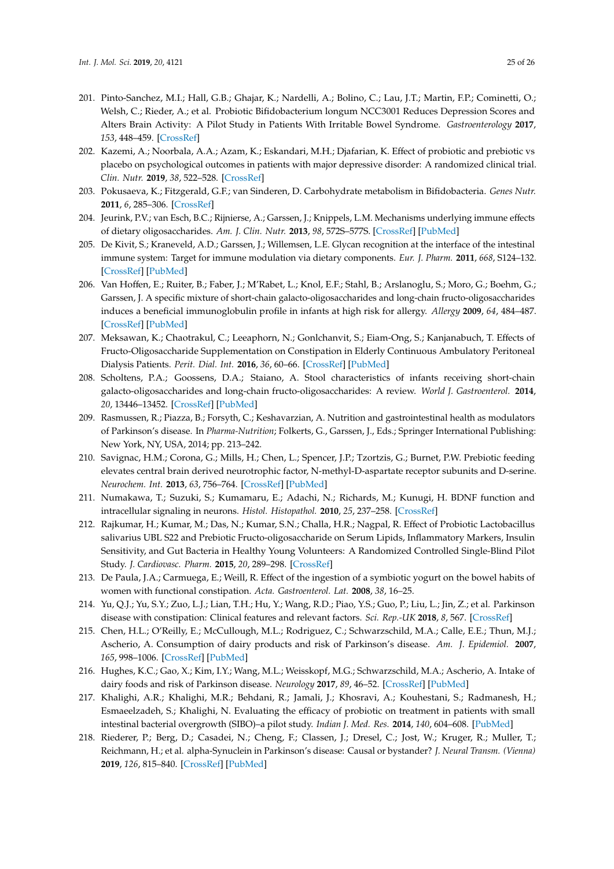- <span id="page-24-0"></span>201. Pinto-Sanchez, M.I.; Hall, G.B.; Ghajar, K.; Nardelli, A.; Bolino, C.; Lau, J.T.; Martin, F.P.; Cominetti, O.; Welsh, C.; Rieder, A.; et al. Probiotic Bifidobacterium longum NCC3001 Reduces Depression Scores and Alters Brain Activity: A Pilot Study in Patients With Irritable Bowel Syndrome. *Gastroenterology* **2017**, *153*, 448–459. [\[CrossRef\]](http://dx.doi.org/10.1053/j.gastro.2017.05.003)
- <span id="page-24-1"></span>202. Kazemi, A.; Noorbala, A.A.; Azam, K.; Eskandari, M.H.; Djafarian, K. Effect of probiotic and prebiotic vs placebo on psychological outcomes in patients with major depressive disorder: A randomized clinical trial. *Clin. Nutr.* **2019**, *38*, 522–528. [\[CrossRef\]](http://dx.doi.org/10.1016/j.clnu.2018.04.010)
- <span id="page-24-2"></span>203. Pokusaeva, K.; Fitzgerald, G.F.; van Sinderen, D. Carbohydrate metabolism in Bifidobacteria. *Genes Nutr.* **2011**, *6*, 285–306. [\[CrossRef\]](http://dx.doi.org/10.1007/s12263-010-0206-6)
- <span id="page-24-3"></span>204. Jeurink, P.V.; van Esch, B.C.; Rijnierse, A.; Garssen, J.; Knippels, L.M. Mechanisms underlying immune effects of dietary oligosaccharides. *Am. J. Clin. Nutr.* **2013**, *98*, 572S–577S. [\[CrossRef\]](http://dx.doi.org/10.3945/ajcn.112.038596) [\[PubMed\]](http://www.ncbi.nlm.nih.gov/pubmed/23824724)
- 205. De Kivit, S.; Kraneveld, A.D.; Garssen, J.; Willemsen, L.E. Glycan recognition at the interface of the intestinal immune system: Target for immune modulation via dietary components. *Eur. J. Pharm.* **2011**, *668*, S124–132. [\[CrossRef\]](http://dx.doi.org/10.1016/j.ejphar.2011.05.086) [\[PubMed\]](http://www.ncbi.nlm.nih.gov/pubmed/21816141)
- 206. Van Hoffen, E.; Ruiter, B.; Faber, J.; M'Rabet, L.; Knol, E.F.; Stahl, B.; Arslanoglu, S.; Moro, G.; Boehm, G.; Garssen, J. A specific mixture of short-chain galacto-oligosaccharides and long-chain fructo-oligosaccharides induces a beneficial immunoglobulin profile in infants at high risk for allergy. *Allergy* **2009**, *64*, 484–487. [\[CrossRef\]](http://dx.doi.org/10.1111/j.1398-9995.2008.01765.x) [\[PubMed\]](http://www.ncbi.nlm.nih.gov/pubmed/18507650)
- 207. Meksawan, K.; Chaotrakul, C.; Leeaphorn, N.; Gonlchanvit, S.; Eiam-Ong, S.; Kanjanabuch, T. Effects of Fructo-Oligosaccharide Supplementation on Constipation in Elderly Continuous Ambulatory Peritoneal Dialysis Patients. *Perit. Dial. Int.* **2016**, *36*, 60–66. [\[CrossRef\]](http://dx.doi.org/10.3747/pdi.2014.00015) [\[PubMed\]](http://www.ncbi.nlm.nih.gov/pubmed/25292404)
- 208. Scholtens, P.A.; Goossens, D.A.; Staiano, A. Stool characteristics of infants receiving short-chain galacto-oligosaccharides and long-chain fructo-oligosaccharides: A review. *World J. Gastroenterol.* **2014**, *20*, 13446–13452. [\[CrossRef\]](http://dx.doi.org/10.3748/wjg.v20.i37.13446) [\[PubMed\]](http://www.ncbi.nlm.nih.gov/pubmed/25309075)
- <span id="page-24-4"></span>209. Rasmussen, R.; Piazza, B.; Forsyth, C.; Keshavarzian, A. Nutrition and gastrointestinal health as modulators of Parkinson's disease. In *Pharma-Nutrition*; Folkerts, G., Garssen, J., Eds.; Springer International Publishing: New York, NY, USA, 2014; pp. 213–242.
- <span id="page-24-5"></span>210. Savignac, H.M.; Corona, G.; Mills, H.; Chen, L.; Spencer, J.P.; Tzortzis, G.; Burnet, P.W. Prebiotic feeding elevates central brain derived neurotrophic factor, N-methyl-D-aspartate receptor subunits and D-serine. *Neurochem. Int.* **2013**, *63*, 756–764. [\[CrossRef\]](http://dx.doi.org/10.1016/j.neuint.2013.10.006) [\[PubMed\]](http://www.ncbi.nlm.nih.gov/pubmed/24140431)
- <span id="page-24-6"></span>211. Numakawa, T.; Suzuki, S.; Kumamaru, E.; Adachi, N.; Richards, M.; Kunugi, H. BDNF function and intracellular signaling in neurons. *Histol. Histopathol.* **2010**, *25*, 237–258. [\[CrossRef\]](http://dx.doi.org/10.14670/HH-25.237)
- <span id="page-24-7"></span>212. Rajkumar, H.; Kumar, M.; Das, N.; Kumar, S.N.; Challa, H.R.; Nagpal, R. Effect of Probiotic Lactobacillus salivarius UBL S22 and Prebiotic Fructo-oligosaccharide on Serum Lipids, Inflammatory Markers, Insulin Sensitivity, and Gut Bacteria in Healthy Young Volunteers: A Randomized Controlled Single-Blind Pilot Study. *J. Cardiovasc. Pharm.* **2015**, *20*, 289–298. [\[CrossRef\]](http://dx.doi.org/10.1177/1074248414555004)
- <span id="page-24-8"></span>213. De Paula, J.A.; Carmuega, E.; Weill, R. Effect of the ingestion of a symbiotic yogurt on the bowel habits of women with functional constipation. *Acta. Gastroenterol. Lat.* **2008**, *38*, 16–25.
- <span id="page-24-9"></span>214. Yu, Q.J.; Yu, S.Y.; Zuo, L.J.; Lian, T.H.; Hu, Y.; Wang, R.D.; Piao, Y.S.; Guo, P.; Liu, L.; Jin, Z.; et al. Parkinson disease with constipation: Clinical features and relevant factors. *Sci. Rep.-UK* **2018**, *8*, 567. [\[CrossRef\]](http://dx.doi.org/10.1038/s41598-017-16790-8)
- <span id="page-24-10"></span>215. Chen, H.L.; O'Reilly, E.; McCullough, M.L.; Rodriguez, C.; Schwarzschild, M.A.; Calle, E.E.; Thun, M.J.; Ascherio, A. Consumption of dairy products and risk of Parkinson's disease. *Am. J. Epidemiol.* **2007**, *165*, 998–1006. [\[CrossRef\]](http://dx.doi.org/10.1093/aje/kwk089) [\[PubMed\]](http://www.ncbi.nlm.nih.gov/pubmed/17272289)
- <span id="page-24-11"></span>216. Hughes, K.C.; Gao, X.; Kim, I.Y.; Wang, M.L.; Weisskopf, M.G.; Schwarzschild, M.A.; Ascherio, A. Intake of dairy foods and risk of Parkinson disease. *Neurology* **2017**, *89*, 46–52. [\[CrossRef\]](http://dx.doi.org/10.1212/WNL.0000000000004057) [\[PubMed\]](http://www.ncbi.nlm.nih.gov/pubmed/28596209)
- <span id="page-24-12"></span>217. Khalighi, A.R.; Khalighi, M.R.; Behdani, R.; Jamali, J.; Khosravi, A.; Kouhestani, S.; Radmanesh, H.; Esmaeelzadeh, S.; Khalighi, N. Evaluating the efficacy of probiotic on treatment in patients with small intestinal bacterial overgrowth (SIBO)–a pilot study. *Indian J. Med. Res.* **2014**, *140*, 604–608. [\[PubMed\]](http://www.ncbi.nlm.nih.gov/pubmed/25579140)
- <span id="page-24-13"></span>218. Riederer, P.; Berg, D.; Casadei, N.; Cheng, F.; Classen, J.; Dresel, C.; Jost, W.; Kruger, R.; Muller, T.; Reichmann, H.; et al. alpha-Synuclein in Parkinson's disease: Causal or bystander? *J. Neural Transm. (Vienna)* **2019**, *126*, 815–840. [\[CrossRef\]](http://dx.doi.org/10.1007/s00702-019-02025-9) [\[PubMed\]](http://www.ncbi.nlm.nih.gov/pubmed/31240402)